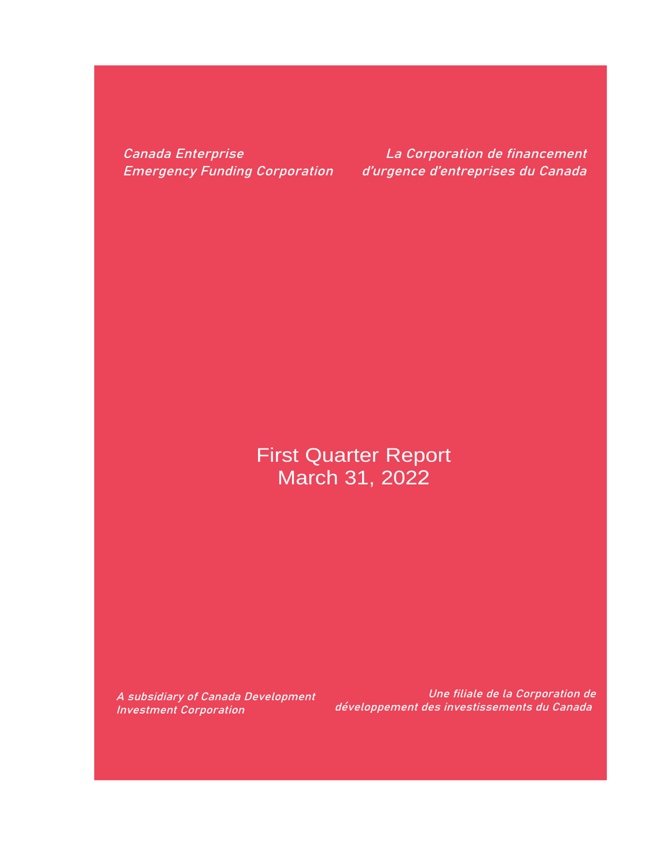Canada Enterprise Emergency Funding Corporation

La Corporation de financement d'urgence d'entreprises du Canada

# First Quarter Report March 31, 2022

A subsidiary of Canada Development Investment Corporation

Une filiale de la Corporation de développement des investissements du Canada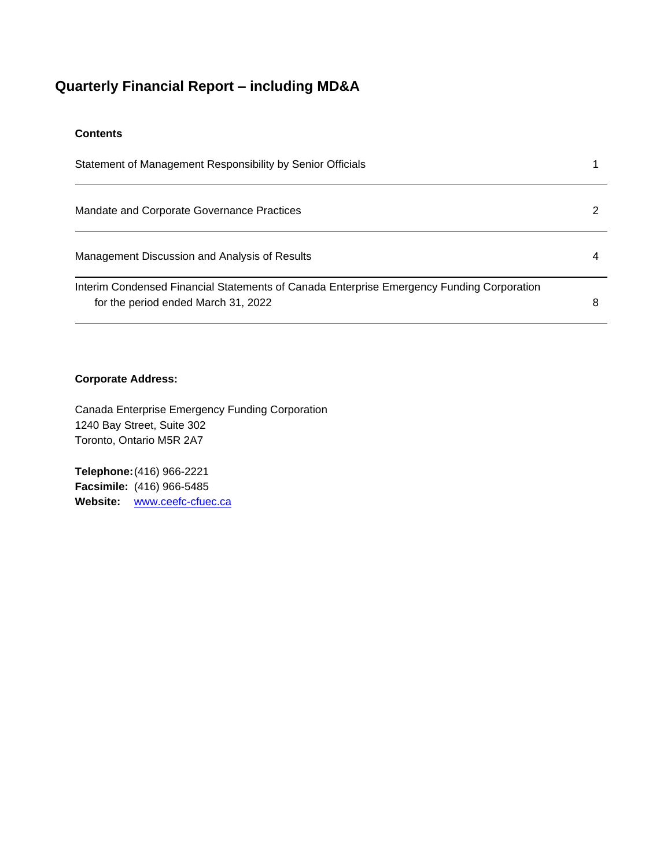### **Quarterly Financial Report – including MD&A**

### **Contents**

| Statement of Management Responsibility by Senior Officials                                                                       |   |
|----------------------------------------------------------------------------------------------------------------------------------|---|
| Mandate and Corporate Governance Practices                                                                                       |   |
| Management Discussion and Analysis of Results                                                                                    | 4 |
| Interim Condensed Financial Statements of Canada Enterprise Emergency Funding Corporation<br>for the period ended March 31, 2022 | 8 |

### **Corporate Address:**

Canada Enterprise Emergency Funding Corporation 1240 Bay Street, Suite 302 Toronto, Ontario M5R 2A7

**Telephone:**(416) 966-2221 **Facsimile:** (416) 966-5485 **Website:** [www.ceefc-cfuec.ca](http://www.ceefc-cfuec.ca/)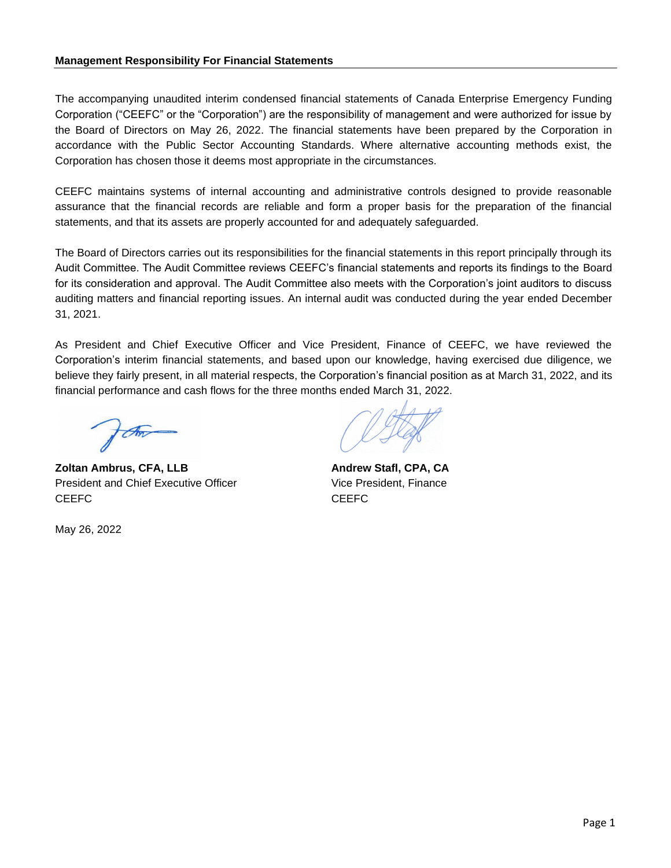#### **Management Responsibility For Financial Statements**

The accompanying unaudited interim condensed financial statements of Canada Enterprise Emergency Funding Corporation ("CEEFC" or the "Corporation") are the responsibility of management and were authorized for issue by the Board of Directors on May 26, 2022. The financial statements have been prepared by the Corporation in accordance with the Public Sector Accounting Standards. Where alternative accounting methods exist, the Corporation has chosen those it deems most appropriate in the circumstances.

CEEFC maintains systems of internal accounting and administrative controls designed to provide reasonable assurance that the financial records are reliable and form a proper basis for the preparation of the financial statements, and that its assets are properly accounted for and adequately safeguarded.

The Board of Directors carries out its responsibilities for the financial statements in this report principally through its Audit Committee. The Audit Committee reviews CEEFC's financial statements and reports its findings to the Board for its consideration and approval. The Audit Committee also meets with the Corporation's joint auditors to discuss auditing matters and financial reporting issues. An internal audit was conducted during the year ended December 31, 2021.

As President and Chief Executive Officer and Vice President, Finance of CEEFC, we have reviewed the Corporation's interim financial statements, and based upon our knowledge, having exercised due diligence, we believe they fairly present, in all material respects, the Corporation's financial position as at March 31, 2022, and its financial performance and cash flows for the three months ended March 31, 2022.

for

**Zoltan Ambrus, CFA, LLB Andrew Stafl, CPA, CA** President and Chief Executive Officer Vice President, Finance CEEFC CEEFC CEEFC CEEFC

May 26, 2022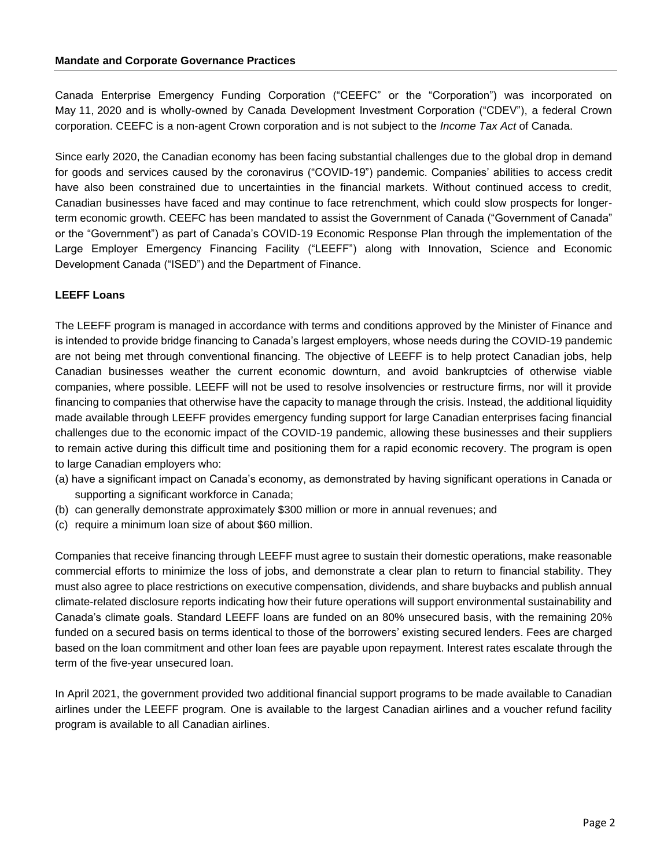Canada Enterprise Emergency Funding Corporation ("CEEFC" or the "Corporation") was incorporated on May 11, 2020 and is wholly-owned by Canada Development Investment Corporation ("CDEV"), a federal Crown corporation. CEEFC is a non-agent Crown corporation and is not subject to the *Income Tax Act* of Canada.

Since early 2020, the Canadian economy has been facing substantial challenges due to the global drop in demand for goods and services caused by the coronavirus ("COVID-19") pandemic. Companies' abilities to access credit have also been constrained due to uncertainties in the financial markets. Without continued access to credit, Canadian businesses have faced and may continue to face retrenchment, which could slow prospects for longerterm economic growth. CEEFC has been mandated to assist the Government of Canada ("Government of Canada" or the "Government") as part of Canada's COVID-19 Economic Response Plan through the implementation of the Large Employer Emergency Financing Facility ("LEEFF") along with Innovation, Science and Economic Development Canada ("ISED") and the Department of Finance.

#### **LEEFF Loans**

The LEEFF program is managed in accordance with terms and conditions approved by the Minister of Finance and is intended to provide bridge financing to Canada's largest employers, whose needs during the COVID-19 pandemic are not being met through conventional financing. The objective of LEEFF is to help protect Canadian jobs, help Canadian businesses weather the current economic downturn, and avoid bankruptcies of otherwise viable companies, where possible. LEEFF will not be used to resolve insolvencies or restructure firms, nor will it provide financing to companies that otherwise have the capacity to manage through the crisis. Instead, the additional liquidity made available through LEEFF provides emergency funding support for large Canadian enterprises facing financial challenges due to the economic impact of the COVID-19 pandemic, allowing these businesses and their suppliers to remain active during this difficult time and positioning them for a rapid economic recovery. The program is open to large Canadian employers who:

- (a) have a significant impact on Canada's economy, as demonstrated by having significant operations in Canada or supporting a significant workforce in Canada;
- (b) can generally demonstrate approximately \$300 million or more in annual revenues; and
- (c) require a minimum loan size of about \$60 million.

Companies that receive financing through LEEFF must agree to sustain their domestic operations, make reasonable commercial efforts to minimize the loss of jobs, and demonstrate a clear plan to return to financial stability. They must also agree to place restrictions on executive compensation, dividends, and share buybacks and publish annual climate-related disclosure reports indicating how their future operations will support environmental sustainability and Canada's climate goals. Standard LEEFF loans are funded on an 80% unsecured basis, with the remaining 20% funded on a secured basis on terms identical to those of the borrowers' existing secured lenders. Fees are charged based on the loan commitment and other loan fees are payable upon repayment. Interest rates escalate through the term of the five-year unsecured loan.

In April 2021, the government provided two additional financial support programs to be made available to Canadian airlines under the LEEFF program. One is available to the largest Canadian airlines and a voucher refund facility program is available to all Canadian airlines.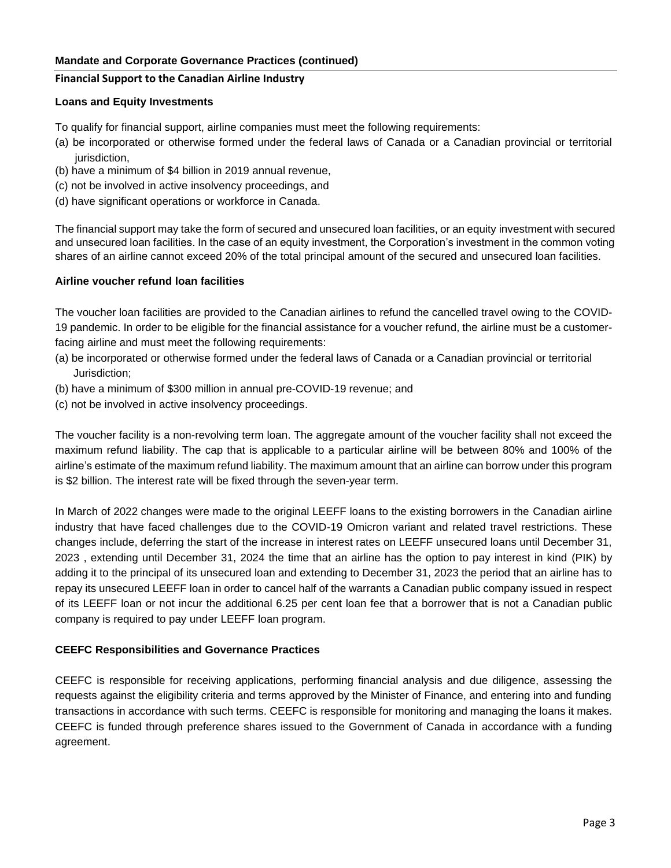### **Mandate and Corporate Governance Practices (continued)**

#### **Financial Support to the Canadian Airline Industry**

#### **Loans and Equity Investments**

To qualify for financial support, airline companies must meet the following requirements:

- (a) be incorporated or otherwise formed under the federal laws of Canada or a Canadian provincial or territorial jurisdiction,
- (b) have a minimum of \$4 billion in 2019 annual revenue,
- (c) not be involved in active insolvency proceedings, and
- (d) have significant operations or workforce in Canada.

The financial support may take the form of secured and unsecured loan facilities, or an equity investment with secured and unsecured loan facilities. In the case of an equity investment, the Corporation's investment in the common voting shares of an airline cannot exceed 20% of the total principal amount of the secured and unsecured loan facilities.

#### **Airline voucher refund loan facilities**

The voucher loan facilities are provided to the Canadian airlines to refund the cancelled travel owing to the COVID-19 pandemic. In order to be eligible for the financial assistance for a voucher refund, the airline must be a customerfacing airline and must meet the following requirements:

- (a) be incorporated or otherwise formed under the federal laws of Canada or a Canadian provincial or territorial Jurisdiction;
- (b) have a minimum of \$300 million in annual pre-COVID-19 revenue; and
- (c) not be involved in active insolvency proceedings.

The voucher facility is a non-revolving term loan. The aggregate amount of the voucher facility shall not exceed the maximum refund liability. The cap that is applicable to a particular airline will be between 80% and 100% of the airline's estimate of the maximum refund liability. The maximum amount that an airline can borrow under this program is \$2 billion. The interest rate will be fixed through the seven-year term.

In March of 2022 changes were made to the original LEEFF loans to the existing borrowers in the Canadian airline industry that have faced challenges due to the COVID-19 Omicron variant and related travel restrictions. These changes include, deferring the start of the increase in interest rates on LEEFF unsecured loans until December 31, 2023 , extending until December 31, 2024 the time that an airline has the option to pay interest in kind (PIK) by adding it to the principal of its unsecured loan and extending to December 31, 2023 the period that an airline has to repay its unsecured LEEFF loan in order to cancel half of the warrants a Canadian public company issued in respect of its LEEFF loan or not incur the additional 6.25 per cent loan fee that a borrower that is not a Canadian public company is required to pay under LEEFF loan program.

### **CEEFC Responsibilities and Governance Practices**

CEEFC is responsible for receiving applications, performing financial analysis and due diligence, assessing the requests against the eligibility criteria and terms approved by the Minister of Finance, and entering into and funding transactions in accordance with such terms. CEEFC is responsible for monitoring and managing the loans it makes. CEEFC is funded through preference shares issued to the Government of Canada in accordance with a funding agreement.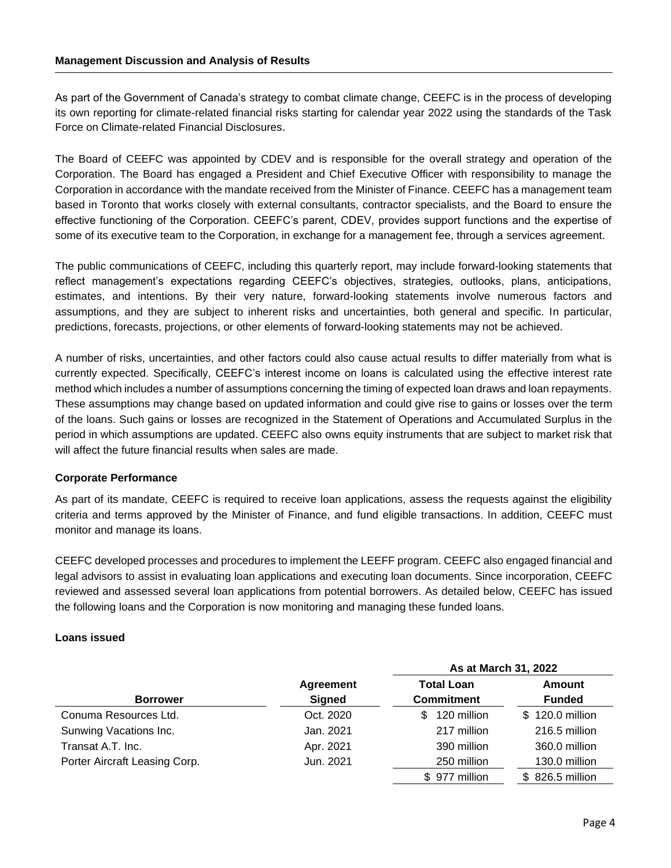As part of the Government of Canada's strategy to combat climate change, CEEFC is in the process of developing its own reporting for climate-related financial risks starting for calendar year 2022 using the standards of the Task Force on Climate-related Financial Disclosures.

The Board of CEEFC was appointed by CDEV and is responsible for the overall strategy and operation of the Corporation. The Board has engaged a President and Chief Executive Officer with responsibility to manage the Corporation in accordance with the mandate received from the Minister of Finance. CEEFC has a management team based in Toronto that works closely with external consultants, contractor specialists, and the Board to ensure the effective functioning of the Corporation. CEEFC's parent, CDEV, provides support functions and the expertise of some of its executive team to the Corporation, in exchange for a management fee, through a services agreement.

The public communications of CEEFC, including this quarterly report, may include forward-looking statements that reflect management's expectations regarding CEEFC's objectives, strategies, outlooks, plans, anticipations, estimates, and intentions. By their very nature, forward-looking statements involve numerous factors and assumptions, and they are subject to inherent risks and uncertainties, both general and specific. In particular, predictions, forecasts, projections, or other elements of forward-looking statements may not be achieved.

A number of risks, uncertainties, and other factors could also cause actual results to differ materially from what is currently expected. Specifically, CEEFC's interest income on loans is calculated using the effective interest rate method which includes a number of assumptions concerning the timing of expected loan draws and loan repayments. These assumptions may change based on updated information and could give rise to gains or losses over the term of the loans. Such gains or losses are recognized in the Statement of Operations and Accumulated Surplus in the period in which assumptions are updated. CEEFC also owns equity instruments that are subject to market risk that will affect the future financial results when sales are made.

### **Corporate Performance**

As part of its mandate, CEEFC is required to receive loan applications, assess the requests against the eligibility criteria and terms approved by the Minister of Finance, and fund eligible transactions. In addition, CEEFC must monitor and manage its loans.

CEEFC developed processes and procedures to implement the LEEFF program. CEEFC also engaged financial and legal advisors to assist in evaluating loan applications and executing loan documents. Since incorporation, CEEFC reviewed and assessed several loan applications from potential borrowers. As detailed below, CEEFC has issued the following loans and the Corporation is now monitoring and managing these funded loans.

#### **Loans issued**

|                               |                  | As at March 31, 2022 |                 |
|-------------------------------|------------------|----------------------|-----------------|
|                               | <b>Agreement</b> | <b>Total Loan</b>    | Amount          |
| <b>Borrower</b>               | Signed           | <b>Commitment</b>    | <b>Funded</b>   |
| Conuma Resources Ltd.         | Oct. 2020        | 120 million<br>\$.   | \$120.0 million |
| Sunwing Vacations Inc.        | Jan. 2021        | 217 million          | 216.5 million   |
| Transat A.T. Inc.             | Apr. 2021        | 390 million          | 360.0 million   |
| Porter Aircraft Leasing Corp. | Jun. 2021        | 250 million          | 130.0 million   |
|                               |                  | \$977 million        | \$826.5 million |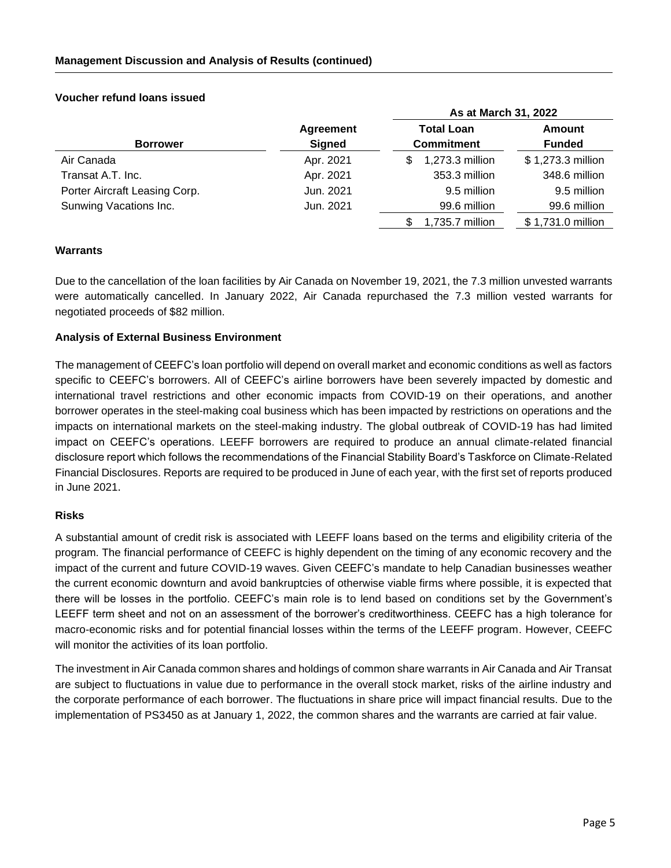#### **As at March 31, 2022 Borrower Agreement Signed Total Loan Commitment Amount Funded** Air Canada **Apr. 2021 Apr. 2021 3** 1,273.3 million \$ 1,273.3 million Transat A.T. Inc. Case Contract A.T. Inc. Contract A.T. Inc. Contract A.T. Inc. Apr. 2021 353.3 million 348.6 million Porter Aircraft Leasing Corp. Jun. 2021 9.5 million 9.5 million Sunwing Vacations Inc. Jun. 2021 99.6 million 99.6 million \$1,735.7 million \$ 1,731.0 million

### **Voucher refund loans issued**

### **Warrants**

Due to the cancellation of the loan facilities by Air Canada on November 19, 2021, the 7.3 million unvested warrants were automatically cancelled. In January 2022, Air Canada repurchased the 7.3 million vested warrants for negotiated proceeds of \$82 million.

### **Analysis of External Business Environment**

The management of CEEFC's loan portfolio will depend on overall market and economic conditions as well as factors specific to CEEFC's borrowers. All of CEEFC's airline borrowers have been severely impacted by domestic and international travel restrictions and other economic impacts from COVID-19 on their operations, and another borrower operates in the steel-making coal business which has been impacted by restrictions on operations and the impacts on international markets on the steel-making industry. The global outbreak of COVID-19 has had limited impact on CEEFC's operations. LEEFF borrowers are required to produce an annual climate-related financial disclosure report which follows the recommendations of the Financial Stability Board's Taskforce on Climate-Related Financial Disclosures. Reports are required to be produced in June of each year, with the first set of reports produced in June 2021.

### **Risks**

A substantial amount of credit risk is associated with LEEFF loans based on the terms and eligibility criteria of the program. The financial performance of CEEFC is highly dependent on the timing of any economic recovery and the impact of the current and future COVID-19 waves. Given CEEFC's mandate to help Canadian businesses weather the current economic downturn and avoid bankruptcies of otherwise viable firms where possible, it is expected that there will be losses in the portfolio. CEEFC's main role is to lend based on conditions set by the Government's LEEFF term sheet and not on an assessment of the borrower's creditworthiness. CEEFC has a high tolerance for macro-economic risks and for potential financial losses within the terms of the LEEFF program. However, CEEFC will monitor the activities of its loan portfolio.

The investment in Air Canada common shares and holdings of common share warrants in Air Canada and Air Transat are subject to fluctuations in value due to performance in the overall stock market, risks of the airline industry and the corporate performance of each borrower. The fluctuations in share price will impact financial results. Due to the implementation of PS3450 as at January 1, 2022, the common shares and the warrants are carried at fair value.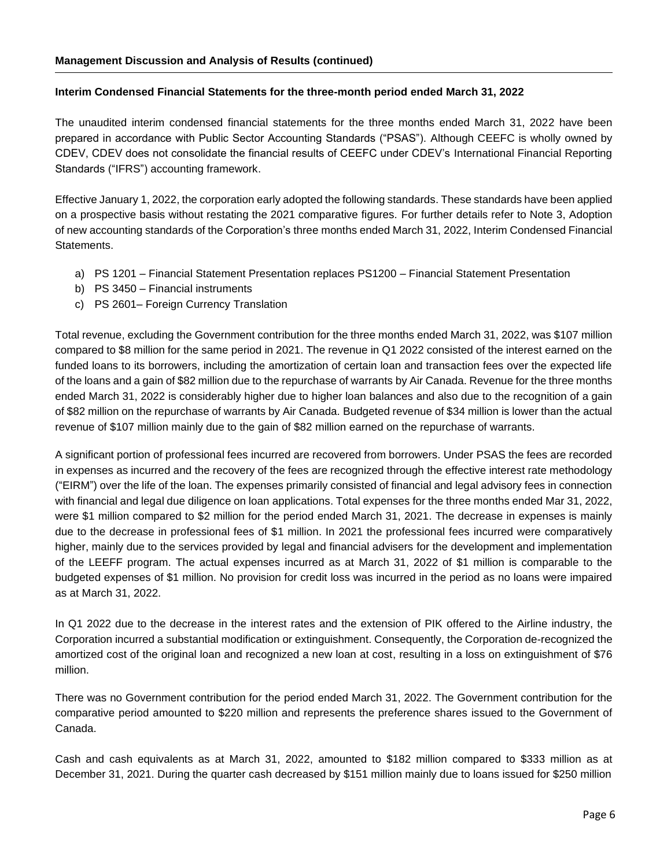### **Interim Condensed Financial Statements for the three-month period ended March 31, 2022**

The unaudited interim condensed financial statements for the three months ended March 31, 2022 have been prepared in accordance with Public Sector Accounting Standards ("PSAS"). Although CEEFC is wholly owned by CDEV, CDEV does not consolidate the financial results of CEEFC under CDEV's International Financial Reporting Standards ("IFRS") accounting framework.

Effective January 1, 2022, the corporation early adopted the following standards. These standards have been applied on a prospective basis without restating the 2021 comparative figures. For further details refer to Note 3, Adoption of new accounting standards of the Corporation's three months ended March 31, 2022, Interim Condensed Financial Statements.

- a) PS 1201 Financial Statement Presentation replaces PS1200 Financial Statement Presentation
- b) PS 3450 Financial instruments
- c) PS 2601– Foreign Currency Translation

Total revenue, excluding the Government contribution for the three months ended March 31, 2022, was \$107 million compared to \$8 million for the same period in 2021. The revenue in Q1 2022 consisted of the interest earned on the funded loans to its borrowers, including the amortization of certain loan and transaction fees over the expected life of the loans and a gain of \$82 million due to the repurchase of warrants by Air Canada. Revenue for the three months ended March 31, 2022 is considerably higher due to higher loan balances and also due to the recognition of a gain of \$82 million on the repurchase of warrants by Air Canada. Budgeted revenue of \$34 million is lower than the actual revenue of \$107 million mainly due to the gain of \$82 million earned on the repurchase of warrants.

A significant portion of professional fees incurred are recovered from borrowers. Under PSAS the fees are recorded in expenses as incurred and the recovery of the fees are recognized through the effective interest rate methodology ("EIRM") over the life of the loan. The expenses primarily consisted of financial and legal advisory fees in connection with financial and legal due diligence on loan applications. Total expenses for the three months ended Mar 31, 2022, were \$1 million compared to \$2 million for the period ended March 31, 2021. The decrease in expenses is mainly due to the decrease in professional fees of \$1 million. In 2021 the professional fees incurred were comparatively higher, mainly due to the services provided by legal and financial advisers for the development and implementation of the LEEFF program. The actual expenses incurred as at March 31, 2022 of \$1 million is comparable to the budgeted expenses of \$1 million. No provision for credit loss was incurred in the period as no loans were impaired as at March 31, 2022.

In Q1 2022 due to the decrease in the interest rates and the extension of PIK offered to the Airline industry, the Corporation incurred a substantial modification or extinguishment. Consequently, the Corporation de-recognized the amortized cost of the original loan and recognized a new loan at cost, resulting in a loss on extinguishment of \$76 million.

There was no Government contribution for the period ended March 31, 2022. The Government contribution for the comparative period amounted to \$220 million and represents the preference shares issued to the Government of Canada.

Cash and cash equivalents as at March 31, 2022, amounted to \$182 million compared to \$333 million as at December 31, 2021. During the quarter cash decreased by \$151 million mainly due to loans issued for \$250 million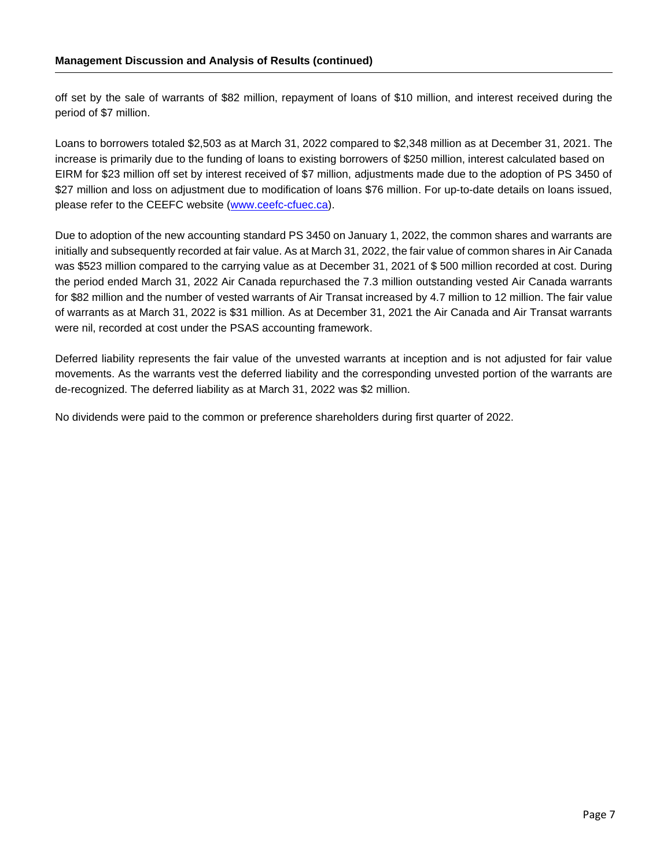off set by the sale of warrants of \$82 million, repayment of loans of \$10 million, and interest received during the period of \$7 million.

Loans to borrowers totaled \$2,503 as at March 31, 2022 compared to \$2,348 million as at December 31, 2021. The increase is primarily due to the funding of loans to existing borrowers of \$250 million, interest calculated based on EIRM for \$23 million off set by interest received of \$7 million, adjustments made due to the adoption of PS 3450 of \$27 million and loss on adjustment due to modification of loans \$76 million. For up-to-date details on loans issued, please refer to the CEEFC website [\(www.ceefc-cfuec.ca\)](http://www.ceefc-cfuec.ca/).

Due to adoption of the new accounting standard PS 3450 on January 1, 2022, the common shares and warrants are initially and subsequently recorded at fair value. As at March 31, 2022, the fair value of common shares in Air Canada was \$523 million compared to the carrying value as at December 31, 2021 of \$500 million recorded at cost. During the period ended March 31, 2022 Air Canada repurchased the 7.3 million outstanding vested Air Canada warrants for \$82 million and the number of vested warrants of Air Transat increased by 4.7 million to 12 million. The fair value of warrants as at March 31, 2022 is \$31 million. As at December 31, 2021 the Air Canada and Air Transat warrants were nil, recorded at cost under the PSAS accounting framework.

Deferred liability represents the fair value of the unvested warrants at inception and is not adjusted for fair value movements. As the warrants vest the deferred liability and the corresponding unvested portion of the warrants are de-recognized. The deferred liability as at March 31, 2022 was \$2 million.

No dividends were paid to the common or preference shareholders during first quarter of 2022.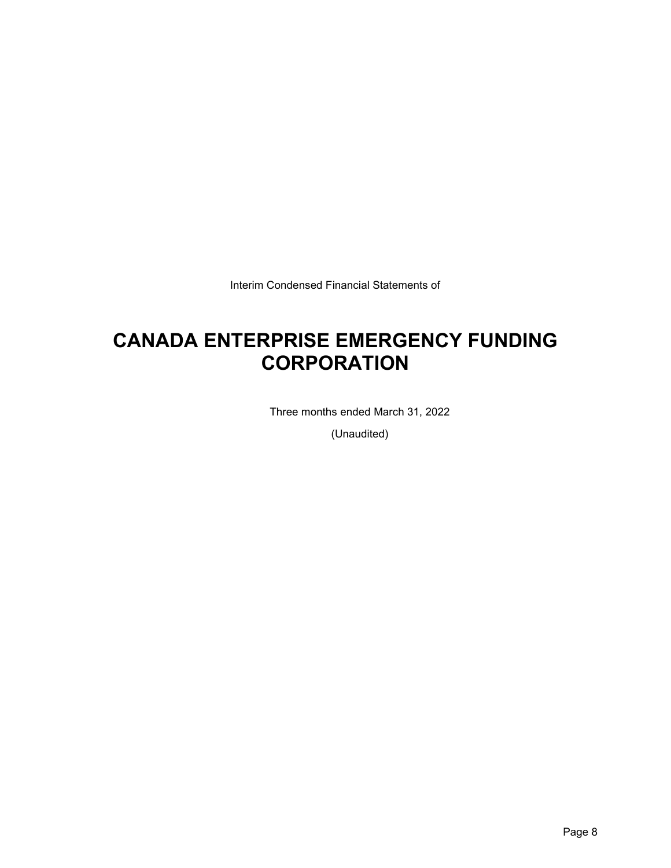Interim Condensed Financial Statements of

## **CANADA ENTERPRISE EMERGENCY FUNDING CORPORATION**

Three months ended March 31, 2022

(Unaudited)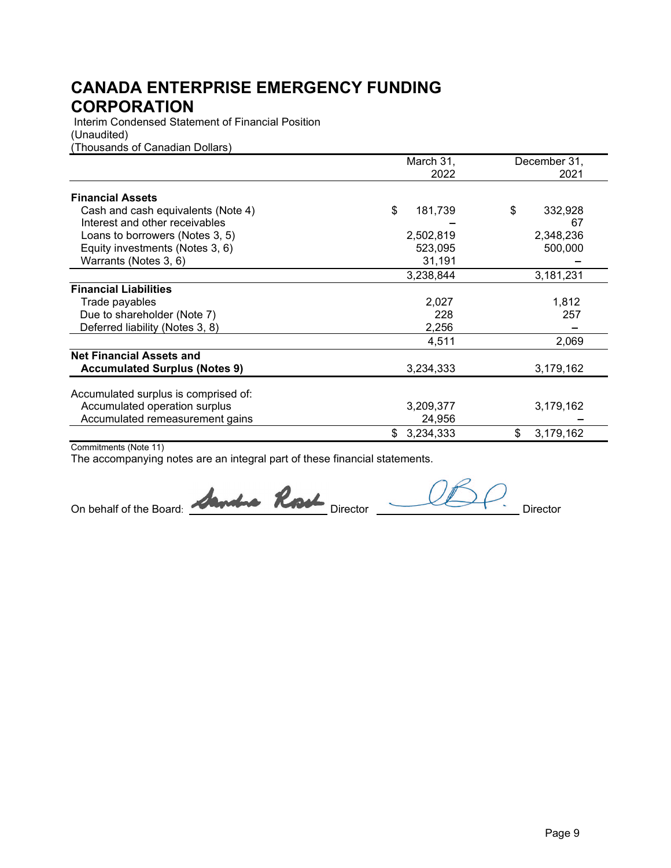Interim Condensed Statement of Financial Position (Unaudited) (Thousands of Canadian Dollars)

|                                      | March 31,        | December 31,    |
|--------------------------------------|------------------|-----------------|
|                                      | 2022             | 2021            |
| <b>Financial Assets</b>              |                  |                 |
| Cash and cash equivalents (Note 4)   | \$<br>181,739    | \$<br>332,928   |
| Interest and other receivables       |                  | 67              |
| Loans to borrowers (Notes 3, 5)      | 2,502,819        | 2,348,236       |
| Equity investments (Notes 3, 6)      | 523,095          | 500,000         |
| Warrants (Notes 3, 6)                | 31,191           |                 |
|                                      | 3,238,844        | 3,181,231       |
| <b>Financial Liabilities</b>         |                  |                 |
| Trade payables                       | 2,027            | 1,812           |
| Due to shareholder (Note 7)          | 228              | 257             |
| Deferred liability (Notes 3, 8)      | 2,256            |                 |
|                                      | 4,511            | 2,069           |
| <b>Net Financial Assets and</b>      |                  |                 |
| <b>Accumulated Surplus (Notes 9)</b> | 3,234,333        | 3,179,162       |
| Accumulated surplus is comprised of: |                  |                 |
| Accumulated operation surplus        | 3,209,377        | 3,179,162       |
| Accumulated remeasurement gains      | 24,956           |                 |
|                                      | 3,234,333<br>\$. | \$<br>3,179,162 |

Commitments (Note 11)

On behalf of the Board: **Annohio Rook** Director <u>JAPP.</u> Director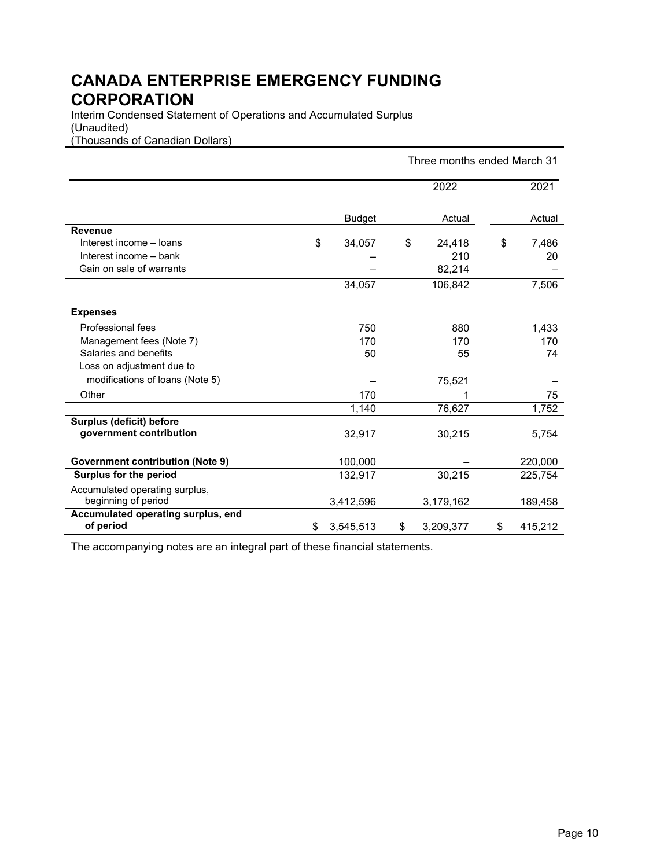Interim Condensed Statement of Operations and Accumulated Surplus (Unaudited) (Thousands of Canadian Dollars)

|                                                 | Three months ended March 31 |               |    |           |    |         |
|-------------------------------------------------|-----------------------------|---------------|----|-----------|----|---------|
|                                                 |                             |               |    | 2022      |    | 2021    |
|                                                 |                             | <b>Budget</b> |    | Actual    |    | Actual  |
| <b>Revenue</b>                                  |                             |               |    |           |    |         |
| Interest income - loans                         | \$                          | 34,057        | \$ | 24,418    | \$ | 7,486   |
| Interest income - bank                          |                             |               |    | 210       |    | 20      |
| Gain on sale of warrants                        |                             |               |    | 82,214    |    |         |
|                                                 |                             | 34,057        |    | 106,842   |    | 7,506   |
| <b>Expenses</b>                                 |                             |               |    |           |    |         |
| Professional fees                               |                             | 750           |    | 880       |    | 1,433   |
| Management fees (Note 7)                        |                             | 170           |    | 170       |    | 170     |
| Salaries and benefits                           |                             | 50            |    | 55        |    | 74      |
| Loss on adjustment due to                       |                             |               |    |           |    |         |
| modifications of loans (Note 5)                 |                             |               |    | 75,521    |    |         |
| Other                                           |                             | 170           |    |           |    | 75      |
|                                                 |                             | 1,140         |    | 76,627    |    | 1,752   |
| Surplus (deficit) before                        |                             |               |    |           |    |         |
| government contribution                         |                             | 32,917        |    | 30,215    |    | 5,754   |
| <b>Government contribution (Note 9)</b>         |                             | 100,000       |    |           |    | 220,000 |
| Surplus for the period                          |                             | 132,917       |    | 30,215    |    | 225,754 |
| Accumulated operating surplus,                  |                             |               |    |           |    |         |
| beginning of period                             |                             | 3,412,596     |    | 3,179,162 |    | 189,458 |
| Accumulated operating surplus, end<br>of period | \$                          | 3,545,513     | \$ | 3,209,377 | \$ | 415,212 |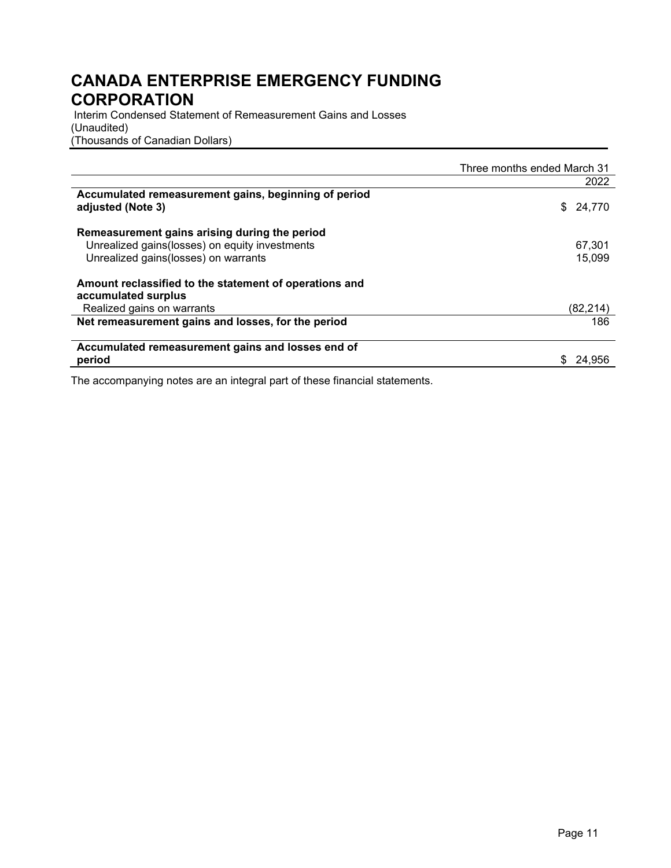Interim Condensed Statement of Remeasurement Gains and Losses (Unaudited) (Thousands of Canadian Dollars)

|                                                                                                                                           | Three months ended March 31 |
|-------------------------------------------------------------------------------------------------------------------------------------------|-----------------------------|
|                                                                                                                                           | 2022                        |
| Accumulated remeasurement gains, beginning of period<br>adjusted (Note 3)                                                                 | \$<br>24,770                |
| Remeasurement gains arising during the period<br>Unrealized gains (losses) on equity investments<br>Unrealized gains (losses) on warrants | 67,301<br>15.099            |
| Amount reclassified to the statement of operations and<br>accumulated surplus<br>Realized gains on warrants                               | (82,214)                    |
| Net remeasurement gains and losses, for the period                                                                                        | 186                         |
| Accumulated remeasurement gains and losses end of<br>period                                                                               | 24.956                      |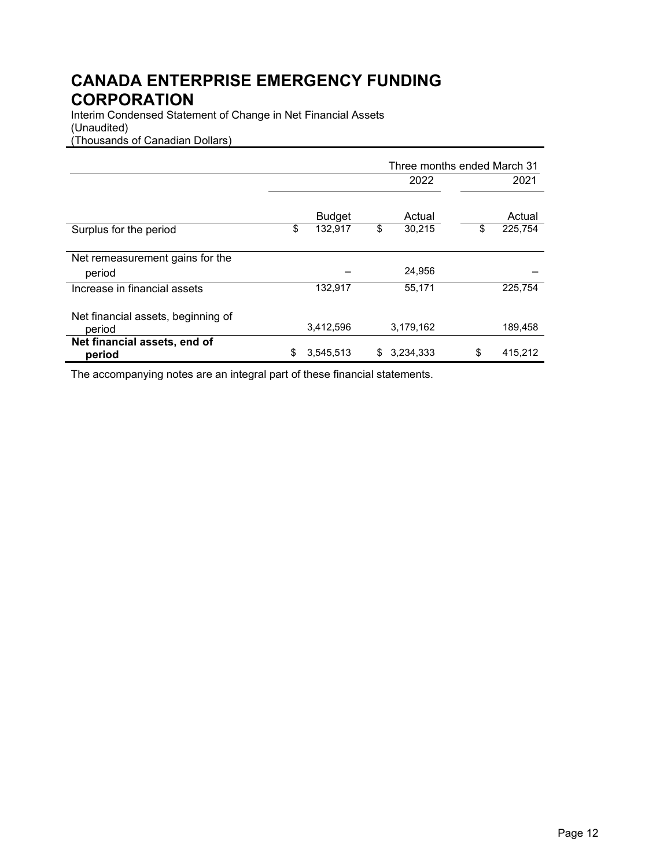Interim Condensed Statement of Change in Net Financial Assets (Unaudited) (Thousands of Canadian Dollars)

|                                    | Three months ended March 31 |               |    |           |    |         |
|------------------------------------|-----------------------------|---------------|----|-----------|----|---------|
|                                    |                             |               |    | 2022      |    | 2021    |
|                                    |                             |               |    |           |    |         |
|                                    |                             | <b>Budget</b> |    | Actual    |    | Actual  |
| Surplus for the period             | \$                          | 132,917       | \$ | 30,215    | \$ | 225,754 |
|                                    |                             |               |    |           |    |         |
| Net remeasurement gains for the    |                             |               |    |           |    |         |
| period                             |                             |               |    | 24,956    |    |         |
| Increase in financial assets       |                             | 132,917       |    | 55,171    |    | 225.754 |
|                                    |                             |               |    |           |    |         |
| Net financial assets, beginning of |                             |               |    |           |    |         |
| period                             |                             | 3,412,596     |    | 3,179,162 |    | 189,458 |
| Net financial assets, end of       |                             |               |    |           |    |         |
| period                             | \$                          | 3,545,513     | S  | 3,234,333 | \$ | 415,212 |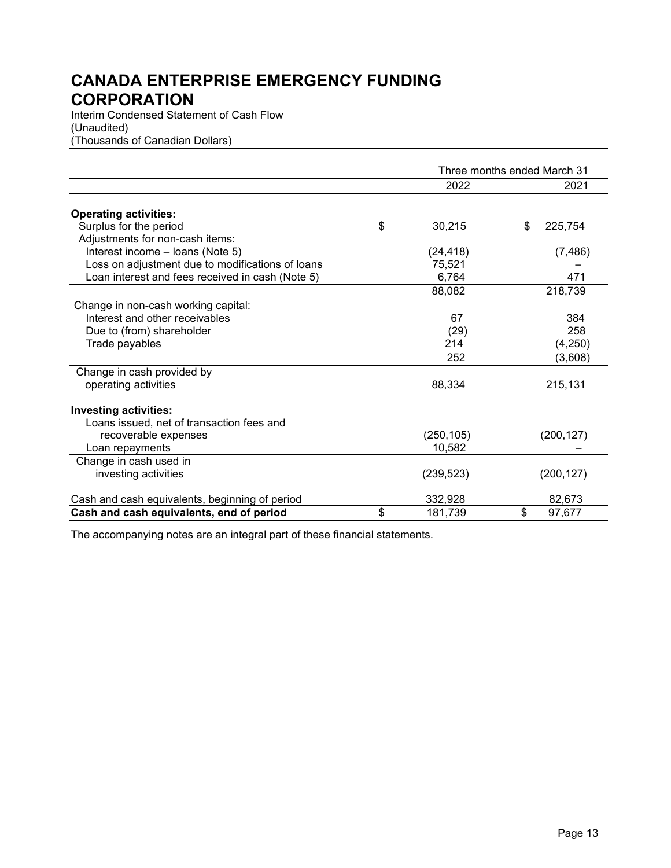Interim Condensed Statement of Cash Flow (Unaudited) (Thousands of Canadian Dollars)

|                                                  | Three months ended March 31 |    |            |
|--------------------------------------------------|-----------------------------|----|------------|
|                                                  | 2022                        |    | 2021       |
| <b>Operating activities:</b>                     |                             |    |            |
| Surplus for the period                           | \$<br>30,215                | \$ | 225,754    |
| Adjustments for non-cash items:                  |                             |    |            |
| Interest income - loans (Note 5)                 | (24, 418)                   |    | (7, 486)   |
| Loss on adjustment due to modifications of loans | 75,521                      |    |            |
| Loan interest and fees received in cash (Note 5) | 6,764                       |    | 471        |
|                                                  | 88,082                      |    | 218,739    |
| Change in non-cash working capital:              |                             |    |            |
| Interest and other receivables                   | 67                          |    | 384        |
| Due to (from) shareholder                        | (29)                        |    | 258        |
| Trade payables                                   | 214                         |    | (4,250)    |
|                                                  | 252                         |    | (3,608)    |
| Change in cash provided by                       |                             |    |            |
| operating activities                             | 88,334                      |    | 215,131    |
| <b>Investing activities:</b>                     |                             |    |            |
| Loans issued, net of transaction fees and        |                             |    |            |
| recoverable expenses                             | (250, 105)                  |    | (200, 127) |
| Loan repayments                                  | 10,582                      |    |            |
| Change in cash used in                           |                             |    |            |
| investing activities                             | (239, 523)                  |    | (200, 127) |
| Cash and cash equivalents, beginning of period   | 332,928                     |    | 82,673     |
| Cash and cash equivalents, end of period         | \$<br>181,739               | \$ | 97,677     |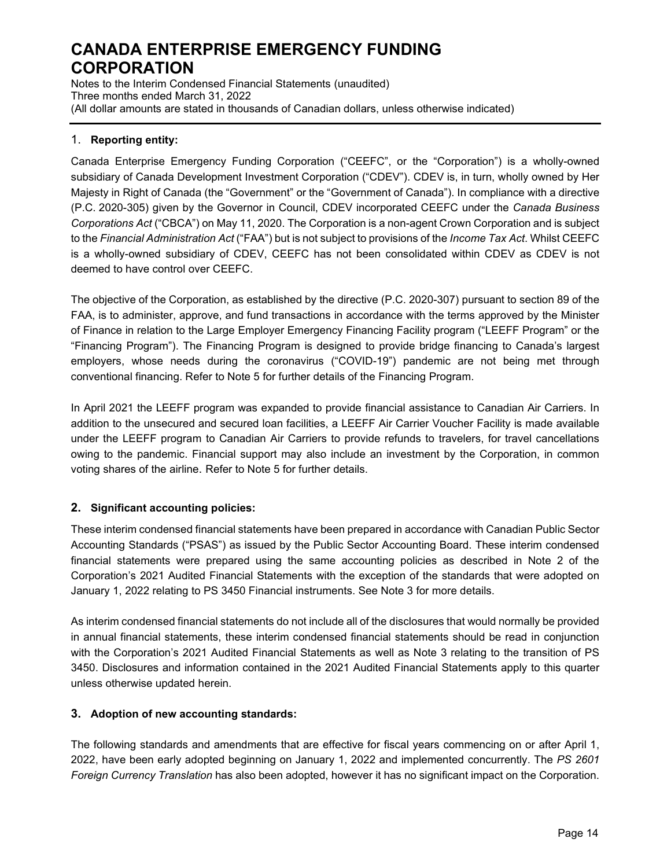Notes to the Interim Condensed Financial Statements (unaudited) Three months ended March 31, 2022 (All dollar amounts are stated in thousands of Canadian dollars, unless otherwise indicated)

### 1. **Reporting entity:**

Canada Enterprise Emergency Funding Corporation ("CEEFC", or the "Corporation") is a wholly-owned subsidiary of Canada Development Investment Corporation ("CDEV"). CDEV is, in turn, wholly owned by Her Majesty in Right of Canada (the "Government" or the "Government of Canada"). In compliance with a directive (P.C. 2020-305) given by the Governor in Council, CDEV incorporated CEEFC under the *Canada Business Corporations Act* ("CBCA") on May 11, 2020. The Corporation is a non-agent Crown Corporation and is subject to the *Financial Administration Act* ("FAA") but is not subject to provisions of the *Income Tax Act*. Whilst CEEFC is a wholly-owned subsidiary of CDEV, CEEFC has not been consolidated within CDEV as CDEV is not deemed to have control over CEEFC.

The objective of the Corporation, as established by the directive (P.C. 2020-307) pursuant to section 89 of the FAA, is to administer, approve, and fund transactions in accordance with the terms approved by the Minister of Finance in relation to the Large Employer Emergency Financing Facility program ("LEEFF Program" or the "Financing Program"). The Financing Program is designed to provide bridge financing to Canada's largest employers, whose needs during the coronavirus ("COVID-19") pandemic are not being met through conventional financing. Refer to Note 5 for further details of the Financing Program.

In April 2021 the LEEFF program was expanded to provide financial assistance to Canadian Air Carriers. In addition to the unsecured and secured loan facilities, a LEEFF Air Carrier Voucher Facility is made available under the LEEFF program to Canadian Air Carriers to provide refunds to travelers, for travel cancellations owing to the pandemic. Financial support may also include an investment by the Corporation, in common voting shares of the airline. Refer to Note 5 for further details.

### **2. Significant accounting policies:**

These interim condensed financial statements have been prepared in accordance with Canadian Public Sector Accounting Standards ("PSAS") as issued by the Public Sector Accounting Board. These interim condensed financial statements were prepared using the same accounting policies as described in Note 2 of the Corporation's 2021 Audited Financial Statements with the exception of the standards that were adopted on January 1, 2022 relating to PS 3450 Financial instruments. See Note 3 for more details.

As interim condensed financial statements do not include all of the disclosures that would normally be provided in annual financial statements, these interim condensed financial statements should be read in conjunction with the Corporation's 2021 Audited Financial Statements as well as Note 3 relating to the transition of PS 3450. Disclosures and information contained in the 2021 Audited Financial Statements apply to this quarter unless otherwise updated herein.

### **3. Adoption of new accounting standards:**

The following standards and amendments that are effective for fiscal years commencing on or after April 1, 2022, have been early adopted beginning on January 1, 2022 and implemented concurrently. The *PS 2601 Foreign Currency Translation* has also been adopted, however it has no significant impact on the Corporation.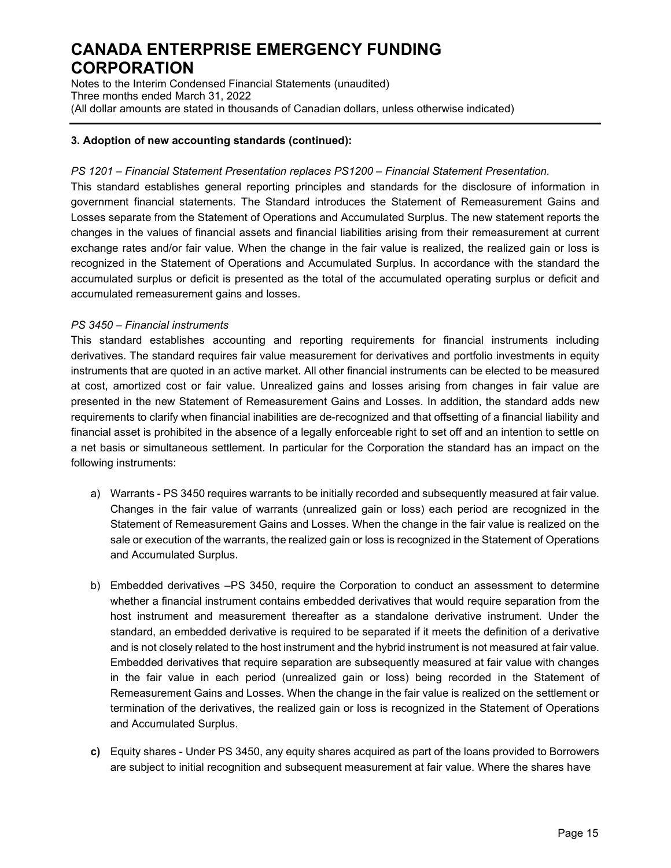Notes to the Interim Condensed Financial Statements (unaudited) Three months ended March 31, 2022 (All dollar amounts are stated in thousands of Canadian dollars, unless otherwise indicated)

### **3. Adoption of new accounting standards (continued):**

#### *PS 1201 – Financial Statement Presentation replaces PS1200 – Financial Statement Presentation.*

This standard establishes general reporting principles and standards for the disclosure of information in government financial statements. The Standard introduces the Statement of Remeasurement Gains and Losses separate from the Statement of Operations and Accumulated Surplus. The new statement reports the changes in the values of financial assets and financial liabilities arising from their remeasurement at current exchange rates and/or fair value. When the change in the fair value is realized, the realized gain or loss is recognized in the Statement of Operations and Accumulated Surplus. In accordance with the standard the accumulated surplus or deficit is presented as the total of the accumulated operating surplus or deficit and accumulated remeasurement gains and losses.

#### *PS 3450 – Financial instruments*

This standard establishes accounting and reporting requirements for financial instruments including derivatives. The standard requires fair value measurement for derivatives and portfolio investments in equity instruments that are quoted in an active market. All other financial instruments can be elected to be measured at cost, amortized cost or fair value. Unrealized gains and losses arising from changes in fair value are presented in the new Statement of Remeasurement Gains and Losses. In addition, the standard adds new requirements to clarify when financial inabilities are de-recognized and that offsetting of a financial liability and financial asset is prohibited in the absence of a legally enforceable right to set off and an intention to settle on a net basis or simultaneous settlement. In particular for the Corporation the standard has an impact on the following instruments:

- a) Warrants PS 3450 requires warrants to be initially recorded and subsequently measured at fair value. Changes in the fair value of warrants (unrealized gain or loss) each period are recognized in the Statement of Remeasurement Gains and Losses. When the change in the fair value is realized on the sale or execution of the warrants, the realized gain or loss is recognized in the Statement of Operations and Accumulated Surplus.
- b) Embedded derivatives –PS 3450, require the Corporation to conduct an assessment to determine whether a financial instrument contains embedded derivatives that would require separation from the host instrument and measurement thereafter as a standalone derivative instrument. Under the standard, an embedded derivative is required to be separated if it meets the definition of a derivative and is not closely related to the host instrument and the hybrid instrument is not measured at fair value. Embedded derivatives that require separation are subsequently measured at fair value with changes in the fair value in each period (unrealized gain or loss) being recorded in the Statement of Remeasurement Gains and Losses. When the change in the fair value is realized on the settlement or termination of the derivatives, the realized gain or loss is recognized in the Statement of Operations and Accumulated Surplus.
- **c)** Equity shares Under PS 3450, any equity shares acquired as part of the loans provided to Borrowers are subject to initial recognition and subsequent measurement at fair value. Where the shares have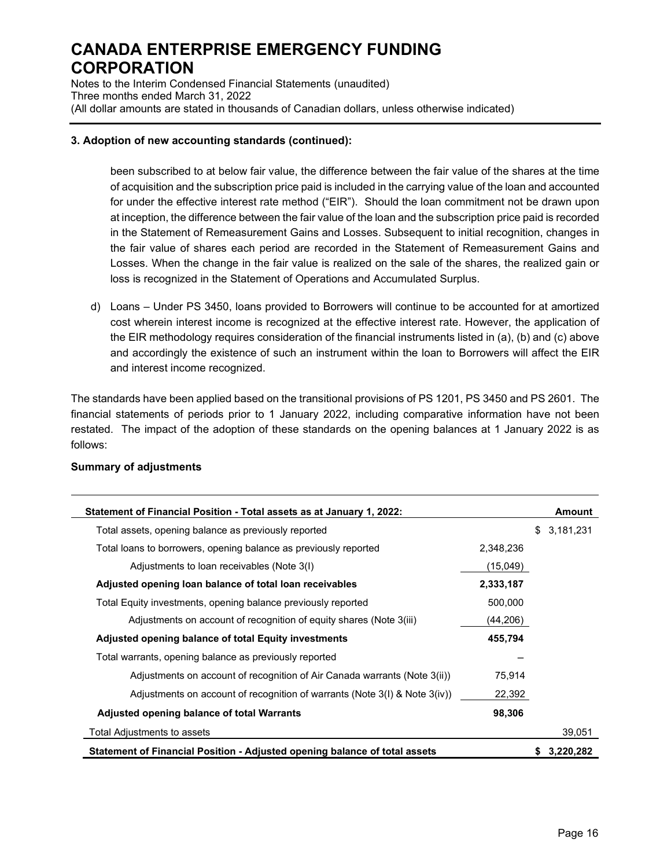Notes to the Interim Condensed Financial Statements (unaudited) Three months ended March 31, 2022 (All dollar amounts are stated in thousands of Canadian dollars, unless otherwise indicated)

### **3. Adoption of new accounting standards (continued):**

been subscribed to at below fair value, the difference between the fair value of the shares at the time of acquisition and the subscription price paid is included in the carrying value of the loan and accounted for under the effective interest rate method ("EIR"). Should the loan commitment not be drawn upon at inception, the difference between the fair value of the loan and the subscription price paid is recorded in the Statement of Remeasurement Gains and Losses. Subsequent to initial recognition, changes in the fair value of shares each period are recorded in the Statement of Remeasurement Gains and Losses. When the change in the fair value is realized on the sale of the shares, the realized gain or loss is recognized in the Statement of Operations and Accumulated Surplus.

d) Loans – Under PS 3450, loans provided to Borrowers will continue to be accounted for at amortized cost wherein interest income is recognized at the effective interest rate. However, the application of the EIR methodology requires consideration of the financial instruments listed in (a), (b) and (c) above and accordingly the existence of such an instrument within the loan to Borrowers will affect the EIR and interest income recognized.

The standards have been applied based on the transitional provisions of PS 1201, PS 3450 and PS 2601. The financial statements of periods prior to 1 January 2022, including comparative information have not been restated. The impact of the adoption of these standards on the opening balances at 1 January 2022 is as follows:

| Statement of Financial Position - Total assets as at January 1, 2022:           |           | Amount          |
|---------------------------------------------------------------------------------|-----------|-----------------|
| Total assets, opening balance as previously reported                            |           | 3,181,231<br>\$ |
| Total loans to borrowers, opening balance as previously reported                | 2,348,236 |                 |
| Adjustments to loan receivables (Note 3(I)                                      | (15,049)  |                 |
| Adjusted opening loan balance of total loan receivables                         | 2,333,187 |                 |
| Total Equity investments, opening balance previously reported                   | 500.000   |                 |
| Adjustments on account of recognition of equity shares (Note 3(iii)             | (44, 206) |                 |
| Adjusted opening balance of total Equity investments                            | 455,794   |                 |
| Total warrants, opening balance as previously reported                          |           |                 |
| Adjustments on account of recognition of Air Canada warrants (Note 3(ii))       | 75,914    |                 |
| Adjustments on account of recognition of warrants (Note $3(1)$ & Note $3(iv)$ ) | 22,392    |                 |
| Adjusted opening balance of total Warrants                                      | 98,306    |                 |
| Total Adjustments to assets                                                     |           | 39.051          |
| Statement of Financial Position - Adjusted opening balance of total assets      |           | 3,220,282       |

#### **Summary of adjustments**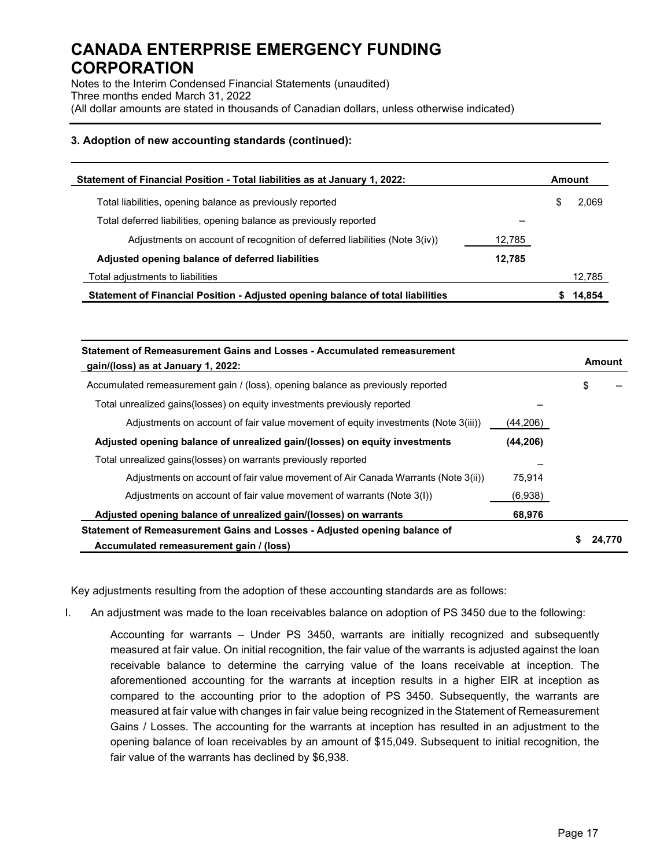Notes to the Interim Condensed Financial Statements (unaudited) Three months ended March 31, 2022 (All dollar amounts are stated in thousands of Canadian dollars, unless otherwise indicated)

### **3. Adoption of new accounting standards (continued):**

| Statement of Financial Position - Total liabilities as at January 1, 2022:      |        |   | Amount |  |
|---------------------------------------------------------------------------------|--------|---|--------|--|
| Total liabilities, opening balance as previously reported                       |        | S | 2,069  |  |
| Total deferred liabilities, opening balance as previously reported              |        |   |        |  |
| Adjustments on account of recognition of deferred liabilities (Note 3(iv))      | 12,785 |   |        |  |
| Adjusted opening balance of deferred liabilities                                | 12.785 |   |        |  |
| Total adjustments to liabilities                                                |        |   | 12,785 |  |
| Statement of Financial Position - Adjusted opening balance of total liabilities |        |   | 14,854 |  |

| Statement of Remeasurement Gains and Losses - Accumulated remeasurement<br>gain/(loss) as at January 1, 2022:        |          | Amount |
|----------------------------------------------------------------------------------------------------------------------|----------|--------|
| Accumulated remeasurement gain / (loss), opening balance as previously reported                                      |          | \$     |
| Total unrealized gains(losses) on equity investments previously reported                                             |          |        |
| Adjustments on account of fair value movement of equity investments (Note 3(iii))                                    | (44,206) |        |
| Adjusted opening balance of unrealized gain/(losses) on equity investments                                           | (44,206) |        |
| Total unrealized gains(losses) on warrants previously reported                                                       |          |        |
| Adjustments on account of fair value movement of Air Canada Warrants (Note 3(ii))                                    | 75.914   |        |
| Adjustments on account of fair value movement of warrants (Note 3(I))                                                | (6,938)  |        |
| Adjusted opening balance of unrealized gain/(losses) on warrants                                                     | 68,976   |        |
| Statement of Remeasurement Gains and Losses - Adjusted opening balance of<br>Accumulated remeasurement gain / (loss) |          |        |

Key adjustments resulting from the adoption of these accounting standards are as follows:

I. An adjustment was made to the loan receivables balance on adoption of PS 3450 due to the following:

Accounting for warrants – Under PS 3450, warrants are initially recognized and subsequently measured at fair value. On initial recognition, the fair value of the warrants is adjusted against the loan receivable balance to determine the carrying value of the loans receivable at inception. The aforementioned accounting for the warrants at inception results in a higher EIR at inception as compared to the accounting prior to the adoption of PS 3450. Subsequently, the warrants are measured at fair value with changes in fair value being recognized in the Statement of Remeasurement Gains / Losses. The accounting for the warrants at inception has resulted in an adjustment to the opening balance of loan receivables by an amount of \$15,049. Subsequent to initial recognition, the fair value of the warrants has declined by \$6,938.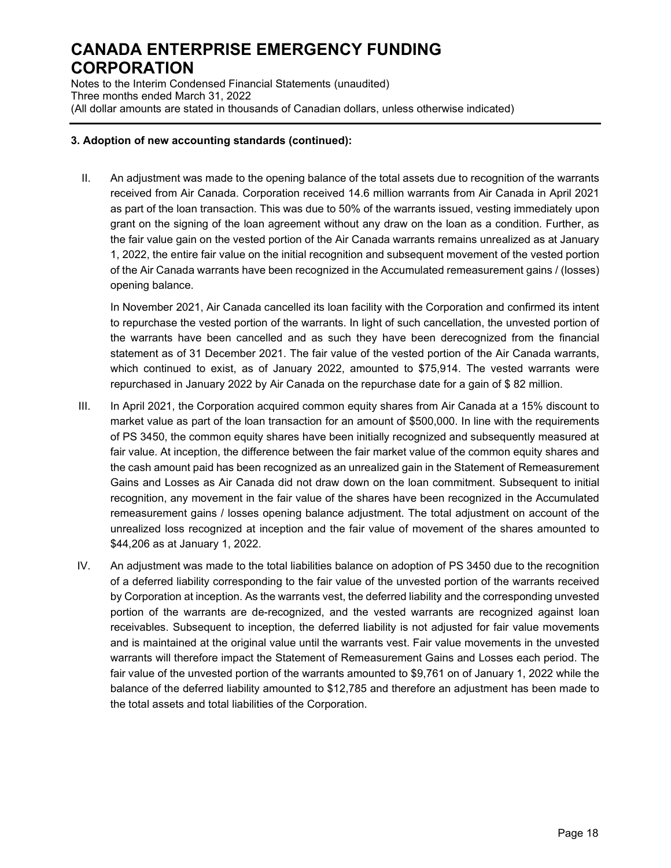Notes to the Interim Condensed Financial Statements (unaudited) Three months ended March 31, 2022 (All dollar amounts are stated in thousands of Canadian dollars, unless otherwise indicated)

### **3. Adoption of new accounting standards (continued):**

II. An adjustment was made to the opening balance of the total assets due to recognition of the warrants received from Air Canada. Corporation received 14.6 million warrants from Air Canada in April 2021 as part of the loan transaction. This was due to 50% of the warrants issued, vesting immediately upon grant on the signing of the loan agreement without any draw on the loan as a condition. Further, as the fair value gain on the vested portion of the Air Canada warrants remains unrealized as at January 1, 2022, the entire fair value on the initial recognition and subsequent movement of the vested portion of the Air Canada warrants have been recognized in the Accumulated remeasurement gains / (losses) opening balance.

In November 2021, Air Canada cancelled its loan facility with the Corporation and confirmed its intent to repurchase the vested portion of the warrants. In light of such cancellation, the unvested portion of the warrants have been cancelled and as such they have been derecognized from the financial statement as of 31 December 2021. The fair value of the vested portion of the Air Canada warrants, which continued to exist, as of January 2022, amounted to \$75,914. The vested warrants were repurchased in January 2022 by Air Canada on the repurchase date for a gain of \$ 82 million.

- III. In April 2021, the Corporation acquired common equity shares from Air Canada at a 15% discount to market value as part of the loan transaction for an amount of \$500,000. In line with the requirements of PS 3450, the common equity shares have been initially recognized and subsequently measured at fair value. At inception, the difference between the fair market value of the common equity shares and the cash amount paid has been recognized as an unrealized gain in the Statement of Remeasurement Gains and Losses as Air Canada did not draw down on the loan commitment. Subsequent to initial recognition, any movement in the fair value of the shares have been recognized in the Accumulated remeasurement gains / losses opening balance adjustment. The total adjustment on account of the unrealized loss recognized at inception and the fair value of movement of the shares amounted to \$44,206 as at January 1, 2022.
- IV. An adjustment was made to the total liabilities balance on adoption of PS 3450 due to the recognition of a deferred liability corresponding to the fair value of the unvested portion of the warrants received by Corporation at inception. As the warrants vest, the deferred liability and the corresponding unvested portion of the warrants are de-recognized, and the vested warrants are recognized against loan receivables. Subsequent to inception, the deferred liability is not adjusted for fair value movements and is maintained at the original value until the warrants vest. Fair value movements in the unvested warrants will therefore impact the Statement of Remeasurement Gains and Losses each period. The fair value of the unvested portion of the warrants amounted to \$9,761 on of January 1, 2022 while the balance of the deferred liability amounted to \$12,785 and therefore an adjustment has been made to the total assets and total liabilities of the Corporation.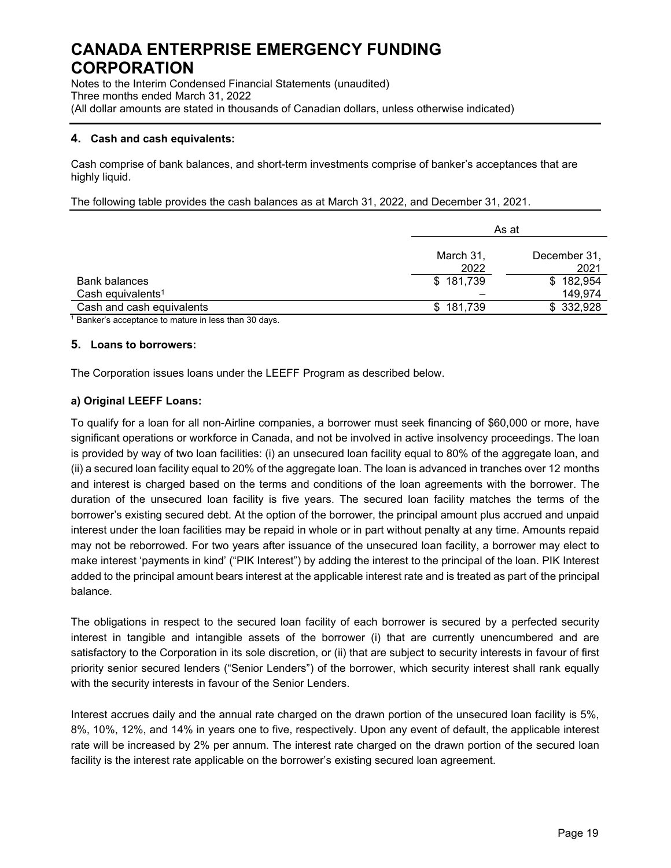Notes to the Interim Condensed Financial Statements (unaudited) Three months ended March 31, 2022 (All dollar amounts are stated in thousands of Canadian dollars, unless otherwise indicated)

### **4. Cash and cash equivalents:**

Cash comprise of bank balances, and short-term investments comprise of banker's acceptances that are highly liquid.

The following table provides the cash balances as at March 31, 2022, and December 31, 2021.

|                               | As at             |                      |
|-------------------------------|-------------------|----------------------|
|                               | March 31,<br>2022 | December 31,<br>2021 |
| <b>Bank balances</b>          | \$181,739         | \$182,954            |
| Cash equivalents <sup>1</sup> |                   | 149,974              |
| Cash and cash equivalents     | \$181,739         | \$332,928            |
|                               |                   |                      |

<sup>1</sup> Banker's acceptance to mature in less than 30 days.

### **5. Loans to borrowers:**

The Corporation issues loans under the LEEFF Program as described below.

### **a) Original LEEFF Loans:**

To qualify for a loan for all non-Airline companies, a borrower must seek financing of \$60,000 or more, have significant operations or workforce in Canada, and not be involved in active insolvency proceedings. The loan is provided by way of two loan facilities: (i) an unsecured loan facility equal to 80% of the aggregate loan, and (ii) a secured loan facility equal to 20% of the aggregate loan. The loan is advanced in tranches over 12 months and interest is charged based on the terms and conditions of the loan agreements with the borrower. The duration of the unsecured loan facility is five years. The secured loan facility matches the terms of the borrower's existing secured debt. At the option of the borrower, the principal amount plus accrued and unpaid interest under the loan facilities may be repaid in whole or in part without penalty at any time. Amounts repaid may not be reborrowed. For two years after issuance of the unsecured loan facility, a borrower may elect to make interest 'payments in kind' ("PIK Interest") by adding the interest to the principal of the loan. PIK Interest added to the principal amount bears interest at the applicable interest rate and is treated as part of the principal balance.

The obligations in respect to the secured loan facility of each borrower is secured by a perfected security interest in tangible and intangible assets of the borrower (i) that are currently unencumbered and are satisfactory to the Corporation in its sole discretion, or (ii) that are subject to security interests in favour of first priority senior secured lenders ("Senior Lenders") of the borrower, which security interest shall rank equally with the security interests in favour of the Senior Lenders.

Interest accrues daily and the annual rate charged on the drawn portion of the unsecured loan facility is 5%, 8%, 10%, 12%, and 14% in years one to five, respectively. Upon any event of default, the applicable interest rate will be increased by 2% per annum. The interest rate charged on the drawn portion of the secured loan facility is the interest rate applicable on the borrower's existing secured loan agreement.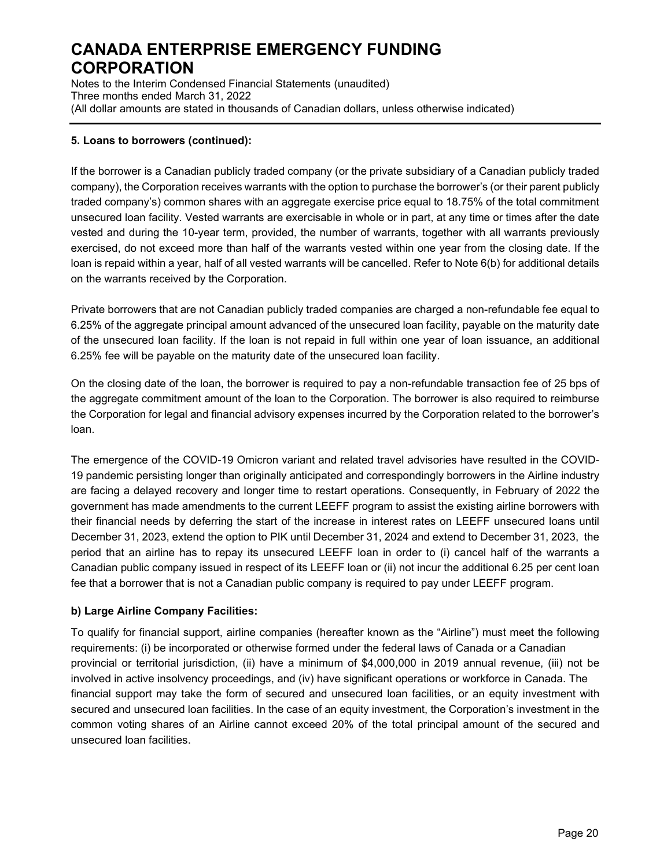Notes to the Interim Condensed Financial Statements (unaudited) Three months ended March 31, 2022 (All dollar amounts are stated in thousands of Canadian dollars, unless otherwise indicated)

### **5. Loans to borrowers (continued):**

If the borrower is a Canadian publicly traded company (or the private subsidiary of a Canadian publicly traded company), the Corporation receives warrants with the option to purchase the borrower's (or their parent publicly traded company's) common shares with an aggregate exercise price equal to 18.75% of the total commitment unsecured loan facility. Vested warrants are exercisable in whole or in part, at any time or times after the date vested and during the 10-year term, provided, the number of warrants, together with all warrants previously exercised, do not exceed more than half of the warrants vested within one year from the closing date. If the loan is repaid within a year, half of all vested warrants will be cancelled. Refer to Note 6(b) for additional details on the warrants received by the Corporation.

Private borrowers that are not Canadian publicly traded companies are charged a non-refundable fee equal to 6.25% of the aggregate principal amount advanced of the unsecured loan facility, payable on the maturity date of the unsecured loan facility. If the loan is not repaid in full within one year of loan issuance, an additional 6.25% fee will be payable on the maturity date of the unsecured loan facility.

On the closing date of the loan, the borrower is required to pay a non-refundable transaction fee of 25 bps of the aggregate commitment amount of the loan to the Corporation. The borrower is also required to reimburse the Corporation for legal and financial advisory expenses incurred by the Corporation related to the borrower's loan.

The emergence of the COVID-19 Omicron variant and related travel advisories have resulted in the COVID-19 pandemic persisting longer than originally anticipated and correspondingly borrowers in the Airline industry are facing a delayed recovery and longer time to restart operations. Consequently, in February of 2022 the government has made amendments to the current LEEFF program to assist the existing airline borrowers with their financial needs by deferring the start of the increase in interest rates on LEEFF unsecured loans until December 31, 2023, extend the option to PIK until December 31, 2024 and extend to December 31, 2023, the period that an airline has to repay its unsecured LEEFF loan in order to (i) cancel half of the warrants a Canadian public company issued in respect of its LEEFF loan or (ii) not incur the additional 6.25 per cent loan fee that a borrower that is not a Canadian public company is required to pay under LEEFF program.

### **b) Large Airline Company Facilities:**

To qualify for financial support, airline companies (hereafter known as the "Airline") must meet the following requirements: (i) be incorporated or otherwise formed under the federal laws of Canada or a Canadian provincial or territorial jurisdiction, (ii) have a minimum of \$4,000,000 in 2019 annual revenue, (iii) not be involved in active insolvency proceedings, and (iv) have significant operations or workforce in Canada. The financial support may take the form of secured and unsecured loan facilities, or an equity investment with secured and unsecured loan facilities. In the case of an equity investment, the Corporation's investment in the common voting shares of an Airline cannot exceed 20% of the total principal amount of the secured and unsecured loan facilities.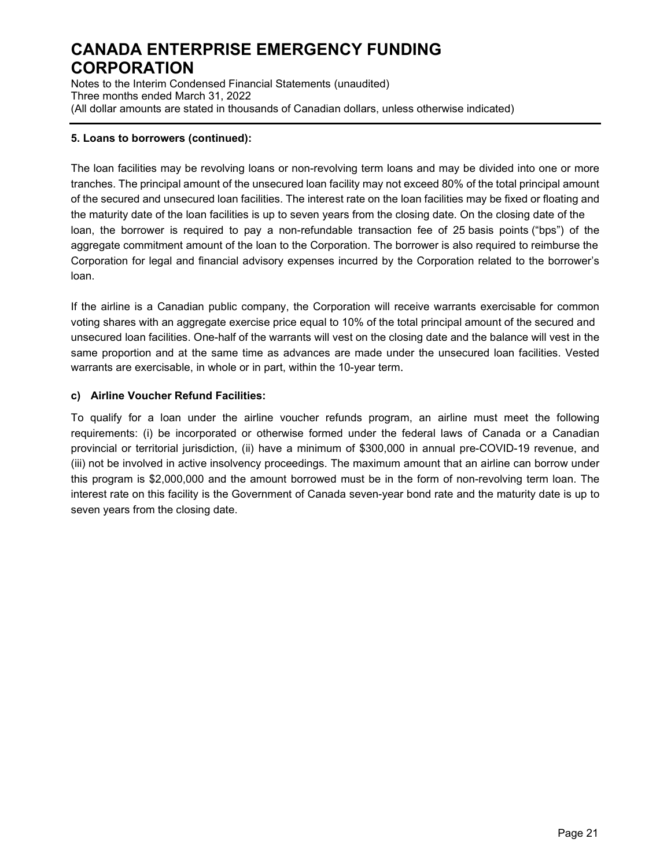Notes to the Interim Condensed Financial Statements (unaudited) Three months ended March 31, 2022 (All dollar amounts are stated in thousands of Canadian dollars, unless otherwise indicated)

### **5. Loans to borrowers (continued):**

The loan facilities may be revolving loans or non-revolving term loans and may be divided into one or more tranches. The principal amount of the unsecured loan facility may not exceed 80% of the total principal amount of the secured and unsecured loan facilities. The interest rate on the loan facilities may be fixed or floating and the maturity date of the loan facilities is up to seven years from the closing date. On the closing date of the loan, the borrower is required to pay a non-refundable transaction fee of 25 basis points ("bps") of the aggregate commitment amount of the loan to the Corporation. The borrower is also required to reimburse the Corporation for legal and financial advisory expenses incurred by the Corporation related to the borrower's loan.

If the airline is a Canadian public company, the Corporation will receive warrants exercisable for common voting shares with an aggregate exercise price equal to 10% of the total principal amount of the secured and unsecured loan facilities. One-half of the warrants will vest on the closing date and the balance will vest in the same proportion and at the same time as advances are made under the unsecured loan facilities. Vested warrants are exercisable, in whole or in part, within the 10-year term.

### **c) Airline Voucher Refund Facilities:**

To qualify for a loan under the airline voucher refunds program, an airline must meet the following requirements: (i) be incorporated or otherwise formed under the federal laws of Canada or a Canadian provincial or territorial jurisdiction, (ii) have a minimum of \$300,000 in annual pre-COVID-19 revenue, and (iii) not be involved in active insolvency proceedings. The maximum amount that an airline can borrow under this program is \$2,000,000 and the amount borrowed must be in the form of non-revolving term loan. The interest rate on this facility is the Government of Canada seven-year bond rate and the maturity date is up to seven years from the closing date.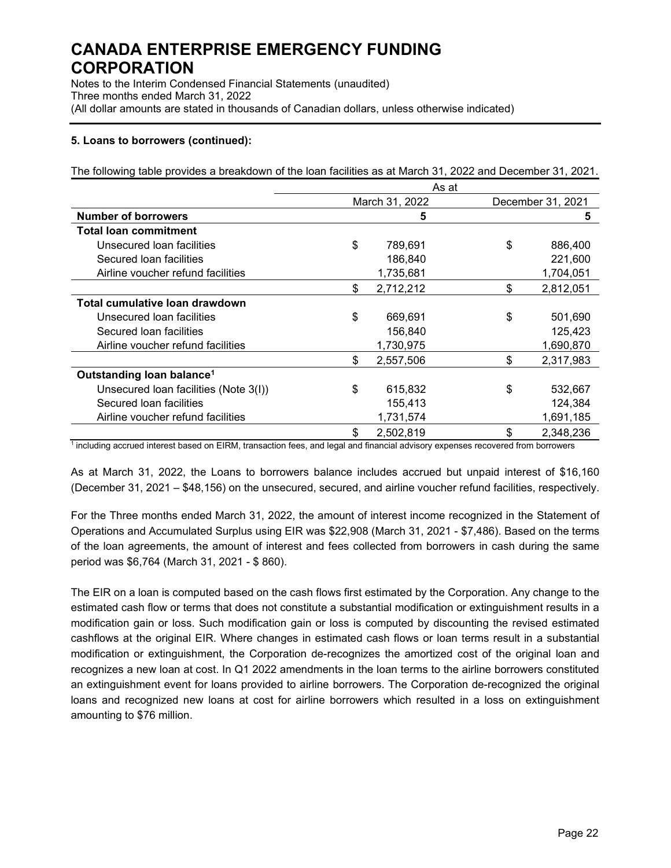Notes to the Interim Condensed Financial Statements (unaudited) Three months ended March 31, 2022 (All dollar amounts are stated in thousands of Canadian dollars, unless otherwise indicated)

### **5. Loans to borrowers (continued):**

The following table provides a breakdown of the loan facilities as at March 31, 2022 and December 31, 2021.

|                                       | As at |                |    |                   |  |
|---------------------------------------|-------|----------------|----|-------------------|--|
|                                       |       | March 31, 2022 |    | December 31, 2021 |  |
| <b>Number of borrowers</b>            |       | 5              |    | 5                 |  |
| <b>Total loan commitment</b>          |       |                |    |                   |  |
| Unsecured loan facilities             | \$    | 789,691        | \$ | 886,400           |  |
| Secured loan facilities               |       | 186,840        |    | 221,600           |  |
| Airline voucher refund facilities     |       | 1,735,681      |    | 1,704,051         |  |
|                                       | \$    | 2,712,212      | \$ | 2,812,051         |  |
| Total cumulative Ioan drawdown        |       |                |    |                   |  |
| Unsecured loan facilities             | \$    | 669,691        | \$ | 501,690           |  |
| Secured loan facilities               |       | 156,840        |    | 125,423           |  |
| Airline voucher refund facilities     |       | 1,730,975      |    | 1,690,870         |  |
|                                       | \$    | 2,557,506      | \$ | 2,317,983         |  |
| Outstanding loan balance <sup>1</sup> |       |                |    |                   |  |
| Unsecured Ioan facilities (Note 3(I)) | \$    | 615,832        | \$ | 532,667           |  |
| Secured loan facilities               |       | 155,413        |    | 124,384           |  |
| Airline voucher refund facilities     |       | 1,731,574      |    | 1,691,185         |  |
|                                       | \$    | 2,502,819      | \$ | 2,348,236         |  |

 $1$  including accrued interest based on EIRM, transaction fees, and legal and financial advisory expenses recovered from borrowers

As at March 31, 2022, the Loans to borrowers balance includes accrued but unpaid interest of \$16,160 (December 31, 2021 – \$48,156) on the unsecured, secured, and airline voucher refund facilities, respectively.

For the Three months ended March 31, 2022, the amount of interest income recognized in the Statement of Operations and Accumulated Surplus using EIR was \$22,908 (March 31, 2021 - \$7,486). Based on the terms of the loan agreements, the amount of interest and fees collected from borrowers in cash during the same period was \$6,764 (March 31, 2021 - \$ 860).

The EIR on a loan is computed based on the cash flows first estimated by the Corporation. Any change to the estimated cash flow or terms that does not constitute a substantial modification or extinguishment results in a modification gain or loss. Such modification gain or loss is computed by discounting the revised estimated cashflows at the original EIR. Where changes in estimated cash flows or loan terms result in a substantial modification or extinguishment, the Corporation de-recognizes the amortized cost of the original loan and recognizes a new loan at cost. In Q1 2022 amendments in the loan terms to the airline borrowers constituted an extinguishment event for loans provided to airline borrowers. The Corporation de-recognized the original loans and recognized new loans at cost for airline borrowers which resulted in a loss on extinguishment amounting to \$76 million.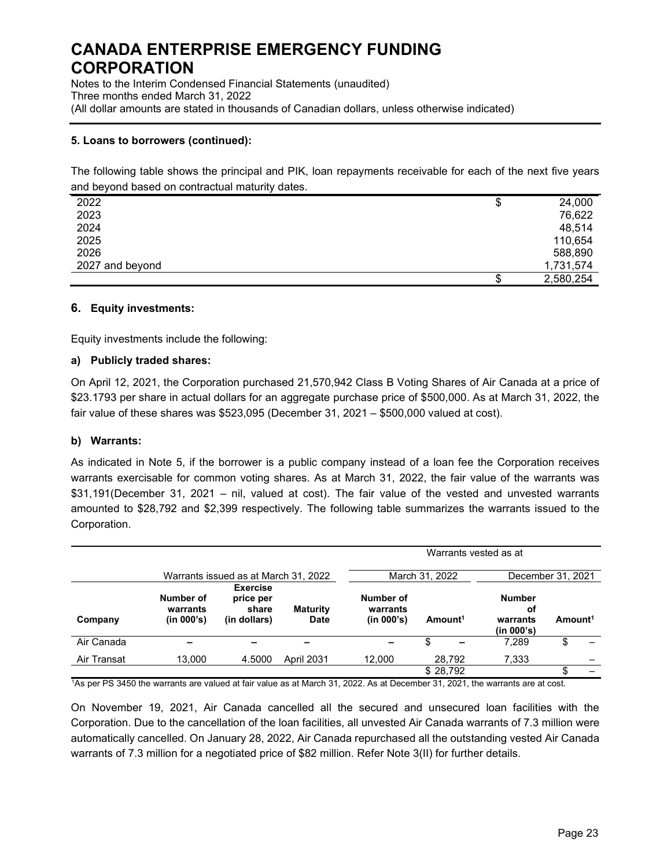Notes to the Interim Condensed Financial Statements (unaudited) Three months ended March 31, 2022 (All dollar amounts are stated in thousands of Canadian dollars, unless otherwise indicated)

### **5. Loans to borrowers (continued):**

The following table shows the principal and PIK, loan repayments receivable for each of the next five years and beyond based on contractual maturity dates.

| 2022            | \$ | 24,000    |
|-----------------|----|-----------|
| 2023            |    | 76,622    |
| 2024            |    | 48,514    |
| 2025            |    | 110,654   |
| 2026            |    | 588,890   |
| 2027 and beyond |    | 1,731,574 |
|                 | S  | 2,580,254 |

### **6. Equity investments:**

Equity investments include the following:

#### **a) Publicly traded shares:**

On April 12, 2021, the Corporation purchased 21,570,942 Class B Voting Shares of Air Canada at a price of \$23.1793 per share in actual dollars for an aggregate purchase price of \$500,000. As at March 31, 2022, the fair value of these shares was \$523,095 (December 31, 2021 – \$500,000 valued at cost).

### **b) Warrants:**

As indicated in Note 5, if the borrower is a public company instead of a loan fee the Corporation receives warrants exercisable for common voting shares. As at March 31, 2022, the fair value of the warrants was \$31,191(December 31, 2021 – nil, valued at cost). The fair value of the vested and unvested warrants amounted to \$28,792 and \$2,399 respectively. The following table summarizes the warrants issued to the Corporation.

|             |                                      |                                                       |                                | Warrants vested as at               |                     |                                               |                     |  |  |  |  |
|-------------|--------------------------------------|-------------------------------------------------------|--------------------------------|-------------------------------------|---------------------|-----------------------------------------------|---------------------|--|--|--|--|
|             | Warrants issued as at March 31, 2022 |                                                       |                                |                                     | March 31, 2022      | December 31, 2021                             |                     |  |  |  |  |
| Company     | Number of<br>warrants<br>(in 000's)  | <b>Exercise</b><br>price per<br>share<br>(in dollars) | <b>Maturity</b><br><b>Date</b> | Number of<br>warrants<br>(in 000's) | Amount <sup>1</sup> | <b>Number</b><br>оf<br>warrants<br>(in 000's) | Amount <sup>1</sup> |  |  |  |  |
| Air Canada  |                                      |                                                       |                                |                                     | \$                  | 7.289                                         | \$                  |  |  |  |  |
| Air Transat | 13,000                               | 4.5000                                                | <b>April 2031</b>              | 12,000                              | 28,792              | 7,333                                         |                     |  |  |  |  |
|             |                                      |                                                       |                                |                                     | \$28,792            |                                               |                     |  |  |  |  |

1 As per PS 3450 the warrants are valued at fair value as at March 31, 2022. As at December 31, 2021, the warrants are at cost.

On November 19, 2021, Air Canada cancelled all the secured and unsecured loan facilities with the Corporation. Due to the cancellation of the loan facilities, all unvested Air Canada warrants of 7.3 million were automatically cancelled. On January 28, 2022, Air Canada repurchased all the outstanding vested Air Canada warrants of 7.3 million for a negotiated price of \$82 million. Refer Note 3(II) for further details.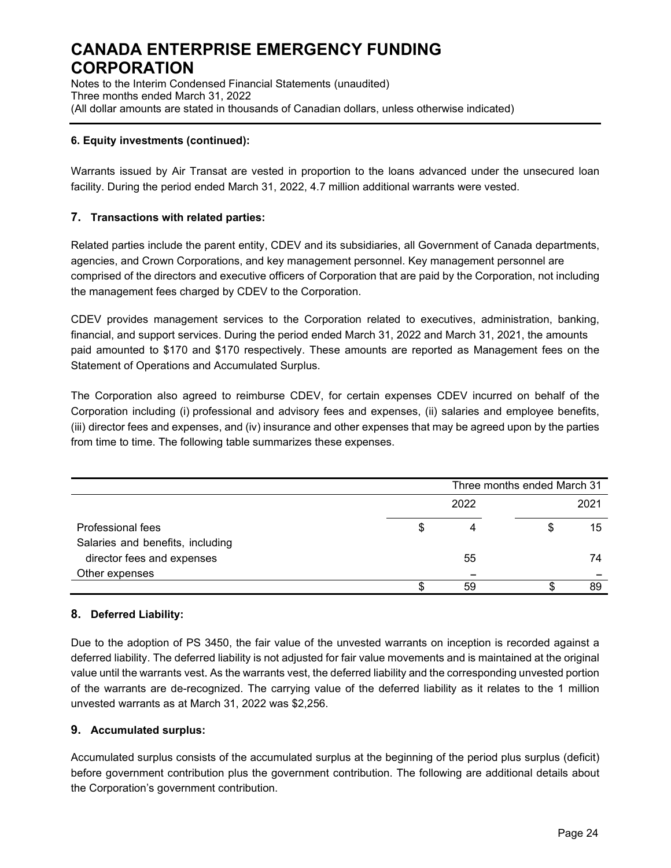Notes to the Interim Condensed Financial Statements (unaudited) Three months ended March 31, 2022 (All dollar amounts are stated in thousands of Canadian dollars, unless otherwise indicated)

### **6. Equity investments (continued):**

Warrants issued by Air Transat are vested in proportion to the loans advanced under the unsecured loan facility. During the period ended March 31, 2022, 4.7 million additional warrants were vested.

### **7. Transactions with related parties:**

Related parties include the parent entity, CDEV and its subsidiaries, all Government of Canada departments, agencies, and Crown Corporations, and key management personnel. Key management personnel are comprised of the directors and executive officers of Corporation that are paid by the Corporation, not including the management fees charged by CDEV to the Corporation.

CDEV provides management services to the Corporation related to executives, administration, banking, financial, and support services. During the period ended March 31, 2022 and March 31, 2021, the amounts paid amounted to \$170 and \$170 respectively. These amounts are reported as Management fees on the Statement of Operations and Accumulated Surplus.

The Corporation also agreed to reimburse CDEV, for certain expenses CDEV incurred on behalf of the Corporation including (i) professional and advisory fees and expenses, (ii) salaries and employee benefits, (iii) director fees and expenses, and (iv) insurance and other expenses that may be agreed upon by the parties from time to time. The following table summarizes these expenses.

|                                  | Three months ended March 31 |    |    |  |  |
|----------------------------------|-----------------------------|----|----|--|--|
|                                  | 2022                        |    |    |  |  |
| Professional fees                |                             | \$ | 15 |  |  |
| Salaries and benefits, including |                             |    |    |  |  |
| director fees and expenses       | 55                          |    | 74 |  |  |
| Other expenses                   |                             |    |    |  |  |
|                                  | 59                          |    | 89 |  |  |

### **8. Deferred Liability:**

Due to the adoption of PS 3450, the fair value of the unvested warrants on inception is recorded against a deferred liability. The deferred liability is not adjusted for fair value movements and is maintained at the original value until the warrants vest. As the warrants vest, the deferred liability and the corresponding unvested portion of the warrants are de-recognized. The carrying value of the deferred liability as it relates to the 1 million unvested warrants as at March 31, 2022 was \$2,256.

### **9. Accumulated surplus:**

Accumulated surplus consists of the accumulated surplus at the beginning of the period plus surplus (deficit) before government contribution plus the government contribution. The following are additional details about the Corporation's government contribution.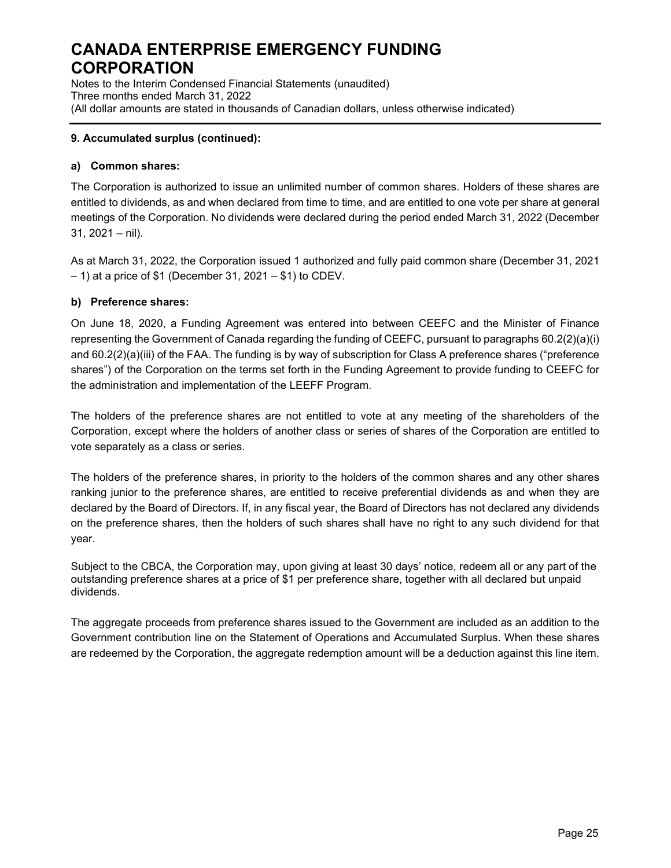Notes to the Interim Condensed Financial Statements (unaudited) Three months ended March 31, 2022 (All dollar amounts are stated in thousands of Canadian dollars, unless otherwise indicated)

### **9. Accumulated surplus (continued):**

### **a) Common shares:**

The Corporation is authorized to issue an unlimited number of common shares. Holders of these shares are entitled to dividends, as and when declared from time to time, and are entitled to one vote per share at general meetings of the Corporation. No dividends were declared during the period ended March 31, 2022 (December 31, 2021 – nil).

As at March 31, 2022, the Corporation issued 1 authorized and fully paid common share (December 31, 2021 – 1) at a price of \$1 (December 31, 2021 – \$1) to CDEV.

### **b) Preference shares:**

On June 18, 2020, a Funding Agreement was entered into between CEEFC and the Minister of Finance representing the Government of Canada regarding the funding of CEEFC, pursuant to paragraphs 60.2(2)(a)(i) and 60.2(2)(a)(iii) of the FAA. The funding is by way of subscription for Class A preference shares ("preference shares") of the Corporation on the terms set forth in the Funding Agreement to provide funding to CEEFC for the administration and implementation of the LEEFF Program.

The holders of the preference shares are not entitled to vote at any meeting of the shareholders of the Corporation, except where the holders of another class or series of shares of the Corporation are entitled to vote separately as a class or series.

The holders of the preference shares, in priority to the holders of the common shares and any other shares ranking junior to the preference shares, are entitled to receive preferential dividends as and when they are declared by the Board of Directors. If, in any fiscal year, the Board of Directors has not declared any dividends on the preference shares, then the holders of such shares shall have no right to any such dividend for that year.

Subject to the CBCA, the Corporation may, upon giving at least 30 days' notice, redeem all or any part of the outstanding preference shares at a price of \$1 per preference share, together with all declared but unpaid dividends.

The aggregate proceeds from preference shares issued to the Government are included as an addition to the Government contribution line on the Statement of Operations and Accumulated Surplus. When these shares are redeemed by the Corporation, the aggregate redemption amount will be a deduction against this line item.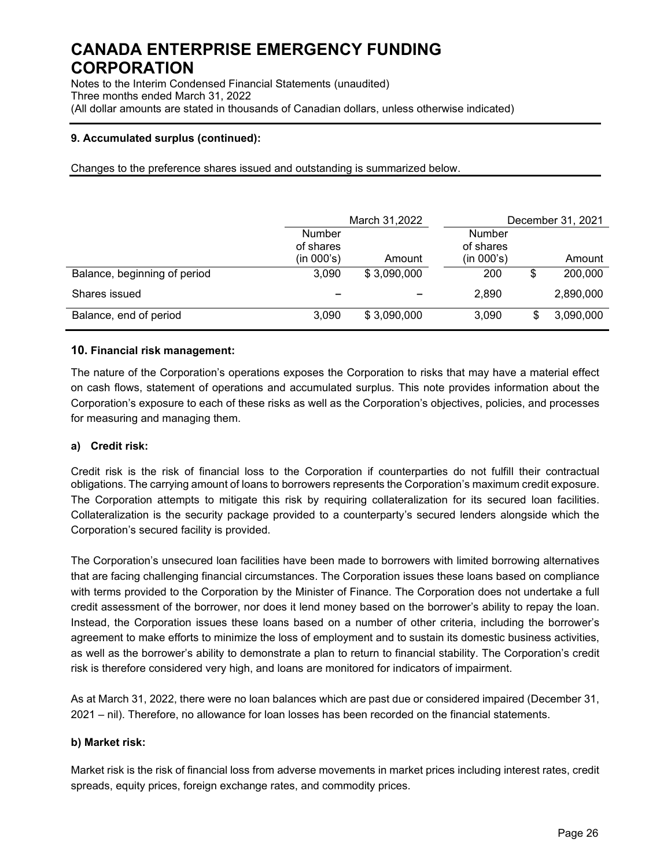Notes to the Interim Condensed Financial Statements (unaudited) Three months ended March 31, 2022 (All dollar amounts are stated in thousands of Canadian dollars, unless otherwise indicated)

### **9. Accumulated surplus (continued):**

Changes to the preference shares issued and outstanding is summarized below.

|                              |                            | March 31,2022 |                            | December 31, 2021 |           |
|------------------------------|----------------------------|---------------|----------------------------|-------------------|-----------|
|                              | <b>Number</b><br>of shares |               | <b>Number</b><br>of shares |                   |           |
|                              | (in 000's)                 | Amount        | (in 000's)                 |                   | Amount    |
| Balance, beginning of period | 3.090                      | \$3,090,000   | 200                        | \$                | 200,000   |
| Shares issued                |                            |               | 2,890                      |                   | 2,890,000 |
| Balance, end of period       | 3,090                      | \$3,090,000   | 3,090                      |                   | 3,090,000 |

### **10. Financial risk management:**

The nature of the Corporation's operations exposes the Corporation to risks that may have a material effect on cash flows, statement of operations and accumulated surplus. This note provides information about the Corporation's exposure to each of these risks as well as the Corporation's objectives, policies, and processes for measuring and managing them.

### **a) Credit risk:**

Credit risk is the risk of financial loss to the Corporation if counterparties do not fulfill their contractual obligations. The carrying amount of loans to borrowers represents the Corporation's maximum credit exposure. The Corporation attempts to mitigate this risk by requiring collateralization for its secured loan facilities. Collateralization is the security package provided to a counterparty's secured lenders alongside which the Corporation's secured facility is provided.

The Corporation's unsecured loan facilities have been made to borrowers with limited borrowing alternatives that are facing challenging financial circumstances. The Corporation issues these loans based on compliance with terms provided to the Corporation by the Minister of Finance. The Corporation does not undertake a full credit assessment of the borrower, nor does it lend money based on the borrower's ability to repay the loan. Instead, the Corporation issues these loans based on a number of other criteria, including the borrower's agreement to make efforts to minimize the loss of employment and to sustain its domestic business activities, as well as the borrower's ability to demonstrate a plan to return to financial stability. The Corporation's credit risk is therefore considered very high, and loans are monitored for indicators of impairment.

As at March 31, 2022, there were no loan balances which are past due or considered impaired (December 31, 2021 – nil). Therefore, no allowance for loan losses has been recorded on the financial statements.

### **b) Market risk:**

Market risk is the risk of financial loss from adverse movements in market prices including interest rates, credit spreads, equity prices, foreign exchange rates, and commodity prices.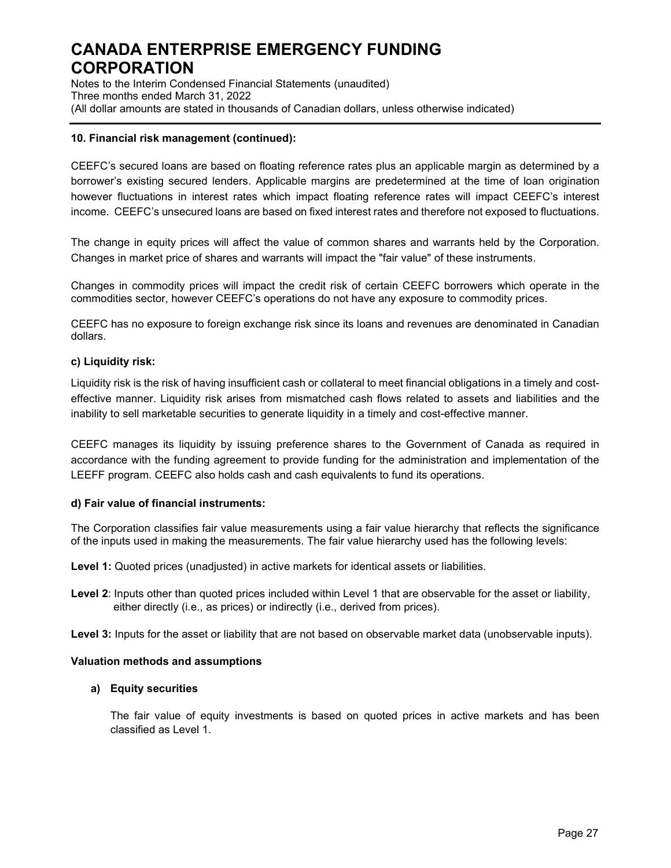Notes to the Interim Condensed Financial Statements (unaudited) Three months ended March 31, 2022 (All dollar amounts are stated in thousands of Canadian dollars, unless otherwise indicated)

### **10. Financial risk management (continued):**

CEEFC's secured loans are based on floating reference rates plus an applicable margin as determined by a borrower's existing secured lenders. Applicable margins are predetermined at the time of loan origination however fluctuations in interest rates which impact floating reference rates will impact CEEFC's interest income. CEEFC's unsecured loans are based on fixed interest rates and therefore not exposed to fluctuations.

The change in equity prices will affect the value of common shares and warrants held by the Corporation. Changes in market price of shares and warrants will impact the "fair value" of these instruments.

Changes in commodity prices will impact the credit risk of certain CEEFC borrowers which operate in the commodities sector, however CEEFC's operations do not have any exposure to commodity prices.

CEEFC has no exposure to foreign exchange risk since its loans and revenues are denominated in Canadian dollars.

### **c) Liquidity risk:**

Liquidity risk is the risk of having insufficient cash or collateral to meet financial obligations in a timely and costeffective manner. Liquidity risk arises from mismatched cash flows related to assets and liabilities and the inability to sell marketable securities to generate liquidity in a timely and cost-effective manner.

CEEFC manages its liquidity by issuing preference shares to the Government of Canada as required in accordance with the funding agreement to provide funding for the administration and implementation of the LEEFF program. CEEFC also holds cash and cash equivalents to fund its operations.

### **d) Fair value of financial instruments:**

The Corporation classifies fair value measurements using a fair value hierarchy that reflects the significance of the inputs used in making the measurements. The fair value hierarchy used has the following levels:

**Level 1:** Quoted prices (unadjusted) in active markets for identical assets or liabilities.

**Level 2**: Inputs other than quoted prices included within Level 1 that are observable for the asset or liability, either directly (i.e., as prices) or indirectly (i.e., derived from prices).

**Level 3:** Inputs for the asset or liability that are not based on observable market data (unobservable inputs).

#### **Valuation methods and assumptions**

#### **a) Equity securities**

The fair value of equity investments is based on quoted prices in active markets and has been classified as Level 1.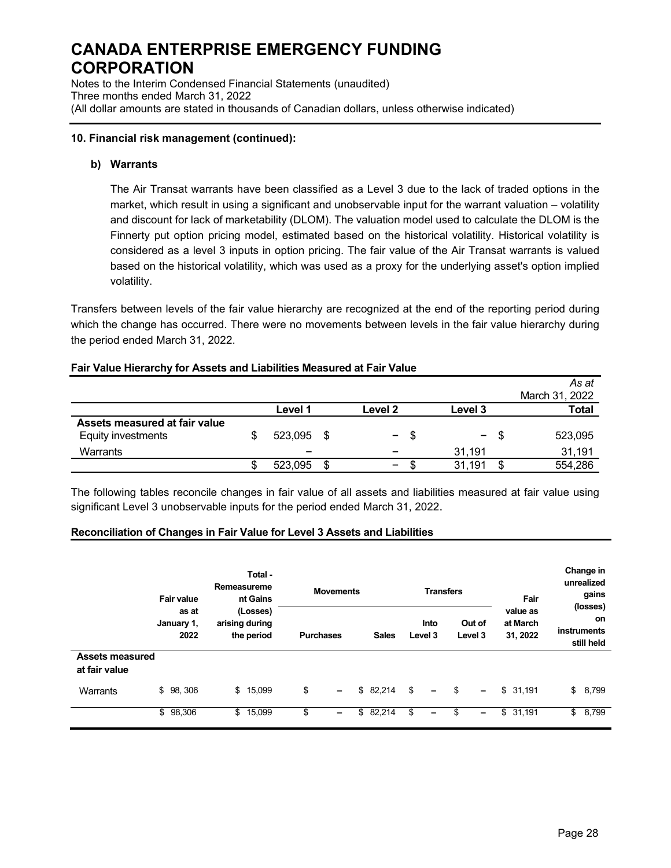Notes to the Interim Condensed Financial Statements (unaudited) Three months ended March 31, 2022 (All dollar amounts are stated in thousands of Canadian dollars, unless otherwise indicated)

### **10. Financial risk management (continued):**

### **b) Warrants**

The Air Transat warrants have been classified as a Level 3 due to the lack of traded options in the market, which result in using a significant and unobservable input for the warrant valuation – volatility and discount for lack of marketability (DLOM). The valuation model used to calculate the DLOM is the Finnerty put option pricing model, estimated based on the historical volatility. Historical volatility is considered as a level 3 inputs in option pricing. The fair value of the Air Transat warrants is valued based on the historical volatility, which was used as a proxy for the underlying asset's option implied volatility.

Transfers between levels of the fair value hierarchy are recognized at the end of the reporting period during which the change has occurred. There were no movements between levels in the fair value hierarchy during the period ended March 31, 2022.

#### **Fair Value Hierarchy for Assets and Liabilities Measured at Fair Value**

|                               |                          |   |                          |     |                          |    | As at          |
|-------------------------------|--------------------------|---|--------------------------|-----|--------------------------|----|----------------|
|                               |                          |   |                          |     |                          |    | March 31, 2022 |
|                               | Level 1                  |   | Level <sub>2</sub>       |     | Level 3                  |    | <b>Total</b>   |
| Assets measured at fair value |                          |   |                          |     |                          |    |                |
| Equity investments            | 523,095 \$               |   | $\blacksquare$           | \$. | $\overline{\phantom{0}}$ | S. | 523,095        |
| Warrants                      | $\overline{\phantom{a}}$ |   | $\overline{\phantom{a}}$ |     | 31.191                   |    | 31,191         |
|                               | 523,095                  | S | $\overline{\phantom{0}}$ |     | 31.191                   |    | 554,286        |

The following tables reconcile changes in fair value of all assets and liabilities measured at fair value using significant Level 3 unobservable inputs for the period ended March 31, 2022.

#### **Reconciliation of Changes in Fair Value for Level 3 Assets and Liabilities**

|                                         | <b>Fair value</b>           | Total -<br>Remeasureme<br><b>Movements</b><br>nt Gains |                  |          |              | <b>Transfers</b> |                                | Fair                             | Change in<br>unrealized<br>gains<br>(losses) |  |
|-----------------------------------------|-----------------------------|--------------------------------------------------------|------------------|----------|--------------|------------------|--------------------------------|----------------------------------|----------------------------------------------|--|
|                                         | as at<br>January 1,<br>2022 | (Losses)<br>arising during<br>the period               | <b>Purchases</b> |          | <b>Sales</b> | Into<br>Level 3  | Out of<br>Level 3              | value as<br>at March<br>31, 2022 | on<br>instruments<br>still held              |  |
| <b>Assets measured</b><br>at fair value |                             |                                                        |                  |          |              |                  |                                |                                  |                                              |  |
| Warrants                                | \$98,306                    | 15,099<br>\$                                           | \$<br>-          | \$82,214 |              | \$<br>-          | \$<br>$\overline{\phantom{0}}$ | \$31,191                         | \$<br>8,799                                  |  |
|                                         | \$98,306                    | 15,099<br>\$                                           | \$<br>-          | \$       | 82,214       | S<br>-           | -                              | \$<br>31,191                     | 8,799<br>\$                                  |  |